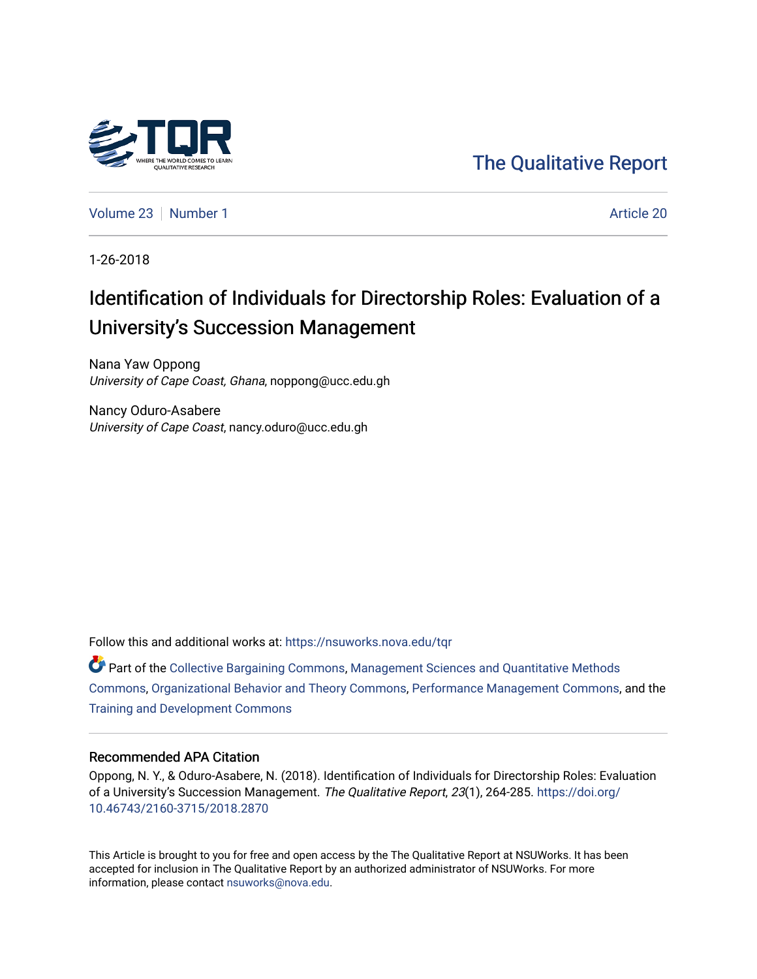

[The Qualitative Report](https://nsuworks.nova.edu/tqr) 

[Volume 23](https://nsuworks.nova.edu/tqr/vol23) [Number 1](https://nsuworks.nova.edu/tqr/vol23/iss1) Article 20

1-26-2018

# Identification of Individuals for Directorship Roles: Evaluation of a University's Succession Management

Nana Yaw Oppong University of Cape Coast, Ghana, noppong@ucc.edu.gh

Nancy Oduro-Asabere University of Cape Coast, nancy.oduro@ucc.edu.gh

Follow this and additional works at: [https://nsuworks.nova.edu/tqr](https://nsuworks.nova.edu/tqr?utm_source=nsuworks.nova.edu%2Ftqr%2Fvol23%2Fiss1%2F20&utm_medium=PDF&utm_campaign=PDFCoverPages) 

Part of the [Collective Bargaining Commons](http://network.bepress.com/hgg/discipline/1258?utm_source=nsuworks.nova.edu%2Ftqr%2Fvol23%2Fiss1%2F20&utm_medium=PDF&utm_campaign=PDFCoverPages), [Management Sciences and Quantitative Methods](http://network.bepress.com/hgg/discipline/637?utm_source=nsuworks.nova.edu%2Ftqr%2Fvol23%2Fiss1%2F20&utm_medium=PDF&utm_campaign=PDFCoverPages)  [Commons](http://network.bepress.com/hgg/discipline/637?utm_source=nsuworks.nova.edu%2Ftqr%2Fvol23%2Fiss1%2F20&utm_medium=PDF&utm_campaign=PDFCoverPages), [Organizational Behavior and Theory Commons,](http://network.bepress.com/hgg/discipline/639?utm_source=nsuworks.nova.edu%2Ftqr%2Fvol23%2Fiss1%2F20&utm_medium=PDF&utm_campaign=PDFCoverPages) [Performance Management Commons](http://network.bepress.com/hgg/discipline/1256?utm_source=nsuworks.nova.edu%2Ftqr%2Fvol23%2Fiss1%2F20&utm_medium=PDF&utm_campaign=PDFCoverPages), and the [Training and Development Commons](http://network.bepress.com/hgg/discipline/1257?utm_source=nsuworks.nova.edu%2Ftqr%2Fvol23%2Fiss1%2F20&utm_medium=PDF&utm_campaign=PDFCoverPages)

#### Recommended APA Citation

Oppong, N. Y., & Oduro-Asabere, N. (2018). Identification of Individuals for Directorship Roles: Evaluation of a University's Succession Management. The Qualitative Report, 23(1), 264-285. [https://doi.org/](https://doi.org/10.46743/2160-3715/2018.2870) [10.46743/2160-3715/2018.2870](https://doi.org/10.46743/2160-3715/2018.2870)

This Article is brought to you for free and open access by the The Qualitative Report at NSUWorks. It has been accepted for inclusion in The Qualitative Report by an authorized administrator of NSUWorks. For more information, please contact [nsuworks@nova.edu.](mailto:nsuworks@nova.edu)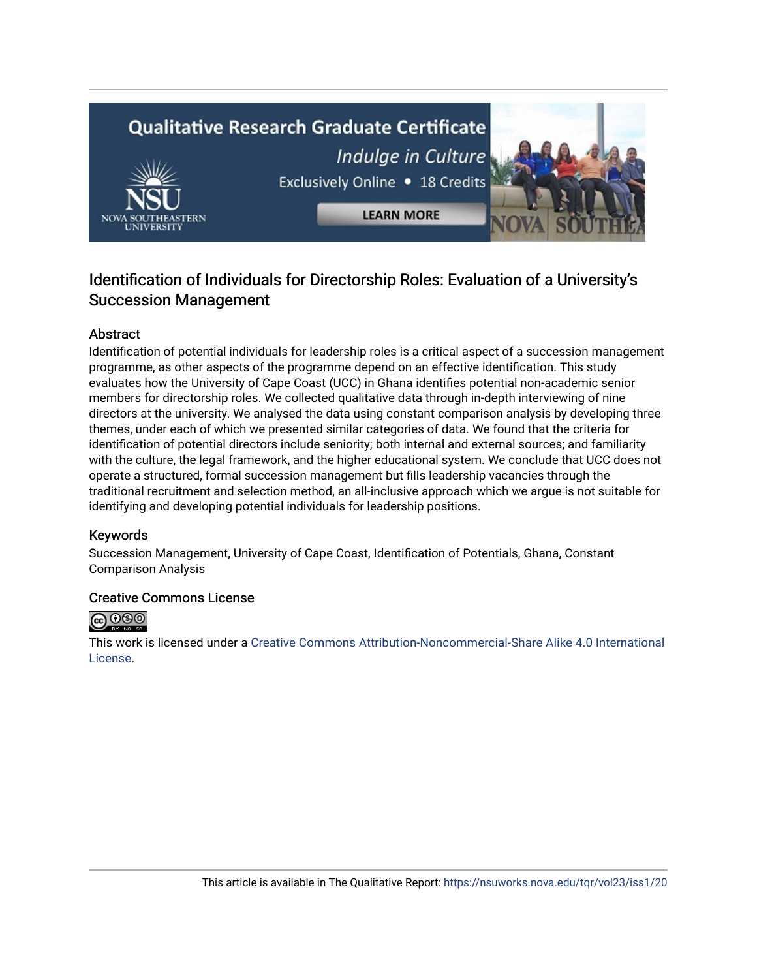# **Qualitative Research Graduate Certificate** Indulge in Culture Exclusively Online . 18 Credits **LEARN MORE**

# Identification of Individuals for Directorship Roles: Evaluation of a University's Succession Management

# Abstract

Identification of potential individuals for leadership roles is a critical aspect of a succession management programme, as other aspects of the programme depend on an effective identification. This study evaluates how the University of Cape Coast (UCC) in Ghana identifies potential non-academic senior members for directorship roles. We collected qualitative data through in-depth interviewing of nine directors at the university. We analysed the data using constant comparison analysis by developing three themes, under each of which we presented similar categories of data. We found that the criteria for identification of potential directors include seniority; both internal and external sources; and familiarity with the culture, the legal framework, and the higher educational system. We conclude that UCC does not operate a structured, formal succession management but fills leadership vacancies through the traditional recruitment and selection method, an all-inclusive approach which we argue is not suitable for identifying and developing potential individuals for leadership positions.

## Keywords

Succession Management, University of Cape Coast, Identification of Potentials, Ghana, Constant Comparison Analysis

## Creative Commons License



This work is licensed under a [Creative Commons Attribution-Noncommercial-Share Alike 4.0 International](https://creativecommons.org/licenses/by-nc-sa/4.0/)  [License](https://creativecommons.org/licenses/by-nc-sa/4.0/).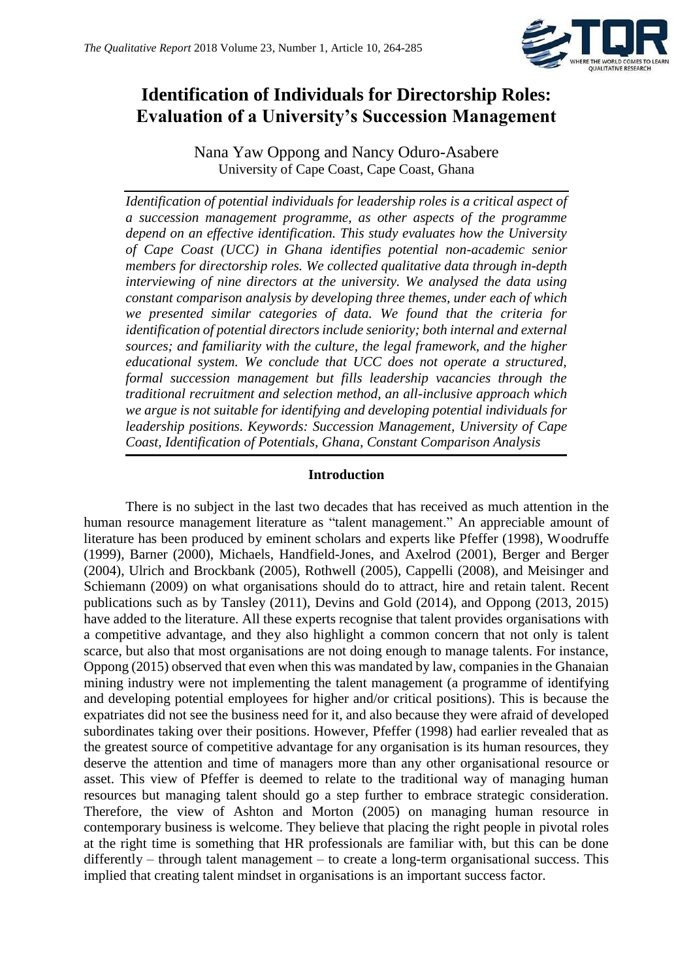

# **Identification of Individuals for Directorship Roles: Evaluation of a University's Succession Management**

Nana Yaw Oppong and Nancy Oduro-Asabere University of Cape Coast, Cape Coast, Ghana

*Identification of potential individuals for leadership roles is a critical aspect of a succession management programme, as other aspects of the programme depend on an effective identification. This study evaluates how the University of Cape Coast (UCC) in Ghana identifies potential non-academic senior members for directorship roles. We collected qualitative data through in-depth interviewing of nine directors at the university. We analysed the data using constant comparison analysis by developing three themes, under each of which we presented similar categories of data. We found that the criteria for identification of potential directors include seniority; both internal and external sources; and familiarity with the culture, the legal framework, and the higher educational system. We conclude that UCC does not operate a structured, formal succession management but fills leadership vacancies through the traditional recruitment and selection method, an all-inclusive approach which we argue is not suitable for identifying and developing potential individuals for leadership positions. Keywords: Succession Management, University of Cape Coast, Identification of Potentials, Ghana, Constant Comparison Analysis*

## **Introduction**

There is no subject in the last two decades that has received as much attention in the human resource management literature as "talent management." An appreciable amount of literature has been produced by eminent scholars and experts like Pfeffer (1998), Woodruffe (1999), Barner (2000), Michaels, Handfield-Jones, and Axelrod (2001), Berger and Berger (2004), Ulrich and Brockbank (2005), Rothwell (2005), Cappelli (2008), and Meisinger and Schiemann (2009) on what organisations should do to attract, hire and retain talent. Recent publications such as by Tansley (2011), Devins and Gold (2014), and Oppong (2013, 2015) have added to the literature. All these experts recognise that talent provides organisations with a competitive advantage, and they also highlight a common concern that not only is talent scarce, but also that most organisations are not doing enough to manage talents. For instance, Oppong (2015) observed that even when this was mandated by law, companies in the Ghanaian mining industry were not implementing the talent management (a programme of identifying and developing potential employees for higher and/or critical positions). This is because the expatriates did not see the business need for it, and also because they were afraid of developed subordinates taking over their positions. However, Pfeffer (1998) had earlier revealed that as the greatest source of competitive advantage for any organisation is its human resources, they deserve the attention and time of managers more than any other organisational resource or asset. This view of Pfeffer is deemed to relate to the traditional way of managing human resources but managing talent should go a step further to embrace strategic consideration. Therefore, the view of Ashton and Morton (2005) on managing human resource in contemporary business is welcome. They believe that placing the right people in pivotal roles at the right time is something that HR professionals are familiar with, but this can be done differently – through talent management – to create a long-term organisational success. This implied that creating talent mindset in organisations is an important success factor.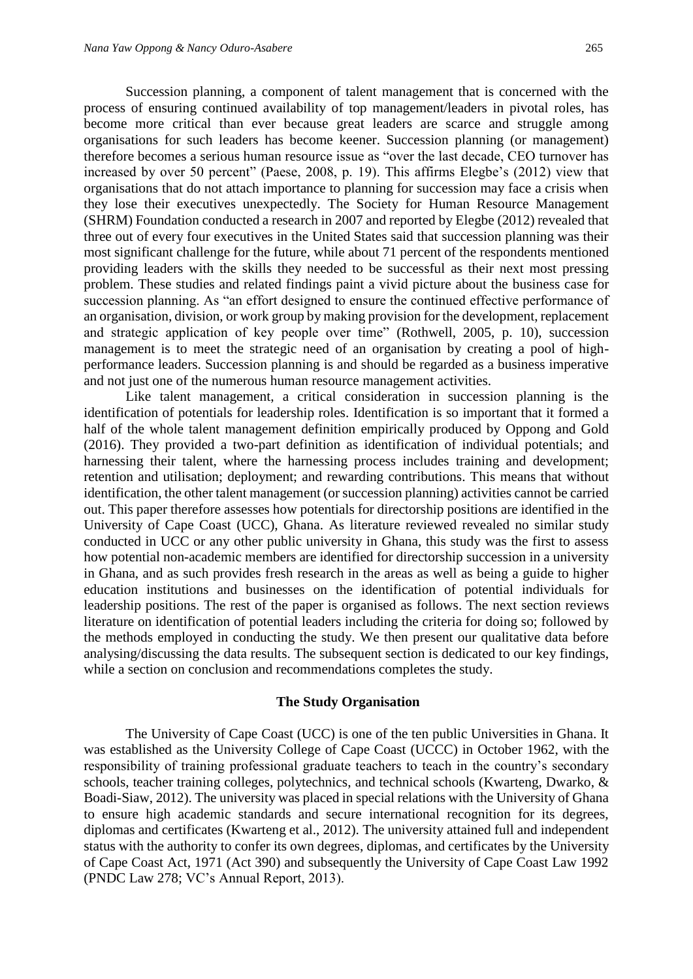Succession planning, a component of talent management that is concerned with the process of ensuring continued availability of top management/leaders in pivotal roles, has become more critical than ever because great leaders are scarce and struggle among organisations for such leaders has become keener. Succession planning (or management) therefore becomes a serious human resource issue as "over the last decade, CEO turnover has increased by over 50 percent" (Paese, 2008, p. 19). This affirms Elegbe's (2012) view that organisations that do not attach importance to planning for succession may face a crisis when they lose their executives unexpectedly. The Society for Human Resource Management (SHRM) Foundation conducted a research in 2007 and reported by Elegbe (2012) revealed that three out of every four executives in the United States said that succession planning was their most significant challenge for the future, while about 71 percent of the respondents mentioned providing leaders with the skills they needed to be successful as their next most pressing problem. These studies and related findings paint a vivid picture about the business case for succession planning. As "an effort designed to ensure the continued effective performance of an organisation, division, or work group by making provision for the development, replacement and strategic application of key people over time" (Rothwell, 2005, p. 10), succession management is to meet the strategic need of an organisation by creating a pool of highperformance leaders. Succession planning is and should be regarded as a business imperative and not just one of the numerous human resource management activities.

Like talent management, a critical consideration in succession planning is the identification of potentials for leadership roles. Identification is so important that it formed a half of the whole talent management definition empirically produced by Oppong and Gold (2016). They provided a two-part definition as identification of individual potentials; and harnessing their talent, where the harnessing process includes training and development; retention and utilisation; deployment; and rewarding contributions. This means that without identification, the other talent management (or succession planning) activities cannot be carried out. This paper therefore assesses how potentials for directorship positions are identified in the University of Cape Coast (UCC), Ghana. As literature reviewed revealed no similar study conducted in UCC or any other public university in Ghana, this study was the first to assess how potential non-academic members are identified for directorship succession in a university in Ghana, and as such provides fresh research in the areas as well as being a guide to higher education institutions and businesses on the identification of potential individuals for leadership positions. The rest of the paper is organised as follows. The next section reviews literature on identification of potential leaders including the criteria for doing so; followed by the methods employed in conducting the study. We then present our qualitative data before analysing/discussing the data results. The subsequent section is dedicated to our key findings, while a section on conclusion and recommendations completes the study.

#### **The Study Organisation**

The University of Cape Coast (UCC) is one of the ten public Universities in Ghana. It was established as the University College of Cape Coast (UCCC) in October 1962, with the responsibility of training professional graduate teachers to teach in the country's secondary schools, teacher training colleges, polytechnics, and technical schools (Kwarteng, Dwarko, & Boadi-Siaw, 2012). The university was placed in special relations with the University of Ghana to ensure high academic standards and secure international recognition for its degrees, diplomas and certificates (Kwarteng et al., 2012). The university attained full and independent status with the authority to confer its own degrees, diplomas, and certificates by the University of Cape Coast Act, 1971 (Act 390) and subsequently the University of Cape Coast Law 1992 (PNDC Law 278; VC's Annual Report, 2013).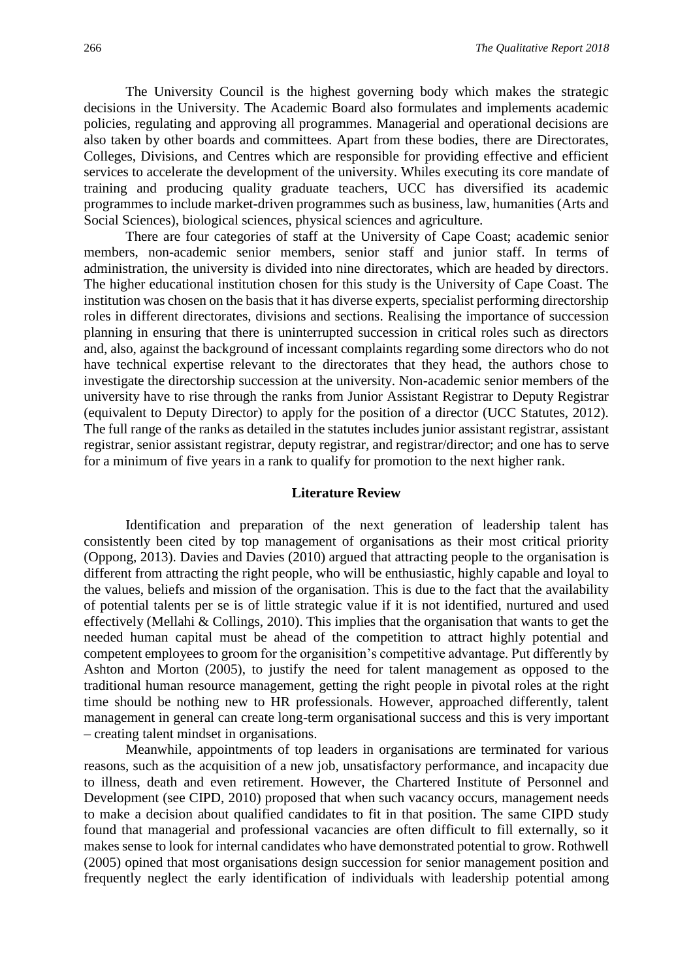The University Council is the highest governing body which makes the strategic decisions in the University. The Academic Board also formulates and implements academic policies, regulating and approving all programmes. Managerial and operational decisions are also taken by other boards and committees. Apart from these bodies, there are Directorates, Colleges, Divisions, and Centres which are responsible for providing effective and efficient services to accelerate the development of the university. Whiles executing its core mandate of training and producing quality graduate teachers, UCC has diversified its academic programmes to include market-driven programmes such as business, law, humanities (Arts and Social Sciences), biological sciences, physical sciences and agriculture.

There are four categories of staff at the University of Cape Coast; academic senior members, non-academic senior members, senior staff and junior staff. In terms of administration, the university is divided into nine directorates, which are headed by directors. The higher educational institution chosen for this study is the University of Cape Coast. The institution was chosen on the basis that it has diverse experts, specialist performing directorship roles in different directorates, divisions and sections. Realising the importance of succession planning in ensuring that there is uninterrupted succession in critical roles such as directors and, also, against the background of incessant complaints regarding some directors who do not have technical expertise relevant to the directorates that they head, the authors chose to investigate the directorship succession at the university. Non-academic senior members of the university have to rise through the ranks from Junior Assistant Registrar to Deputy Registrar (equivalent to Deputy Director) to apply for the position of a director (UCC Statutes, 2012). The full range of the ranks as detailed in the statutes includes junior assistant registrar, assistant registrar, senior assistant registrar, deputy registrar, and registrar/director; and one has to serve for a minimum of five years in a rank to qualify for promotion to the next higher rank.

#### **Literature Review**

Identification and preparation of the next generation of leadership talent has consistently been cited by top management of organisations as their most critical priority (Oppong, 2013). Davies and Davies (2010) argued that attracting people to the organisation is different from attracting the right people, who will be enthusiastic, highly capable and loyal to the values, beliefs and mission of the organisation. This is due to the fact that the availability of potential talents per se is of little strategic value if it is not identified, nurtured and used effectively (Mellahi & Collings, 2010). This implies that the organisation that wants to get the needed human capital must be ahead of the competition to attract highly potential and competent employees to groom for the organisition's competitive advantage. Put differently by Ashton and Morton (2005), to justify the need for talent management as opposed to the traditional human resource management, getting the right people in pivotal roles at the right time should be nothing new to HR professionals. However, approached differently, talent management in general can create long-term organisational success and this is very important – creating talent mindset in organisations.

Meanwhile, appointments of top leaders in organisations are terminated for various reasons, such as the acquisition of a new job, unsatisfactory performance, and incapacity due to illness, death and even retirement. However, the Chartered Institute of Personnel and Development (see CIPD, 2010) proposed that when such vacancy occurs, management needs to make a decision about qualified candidates to fit in that position. The same CIPD study found that managerial and professional vacancies are often difficult to fill externally, so it makes sense to look for internal candidates who have demonstrated potential to grow. Rothwell (2005) opined that most organisations design succession for senior management position and frequently neglect the early identification of individuals with leadership potential among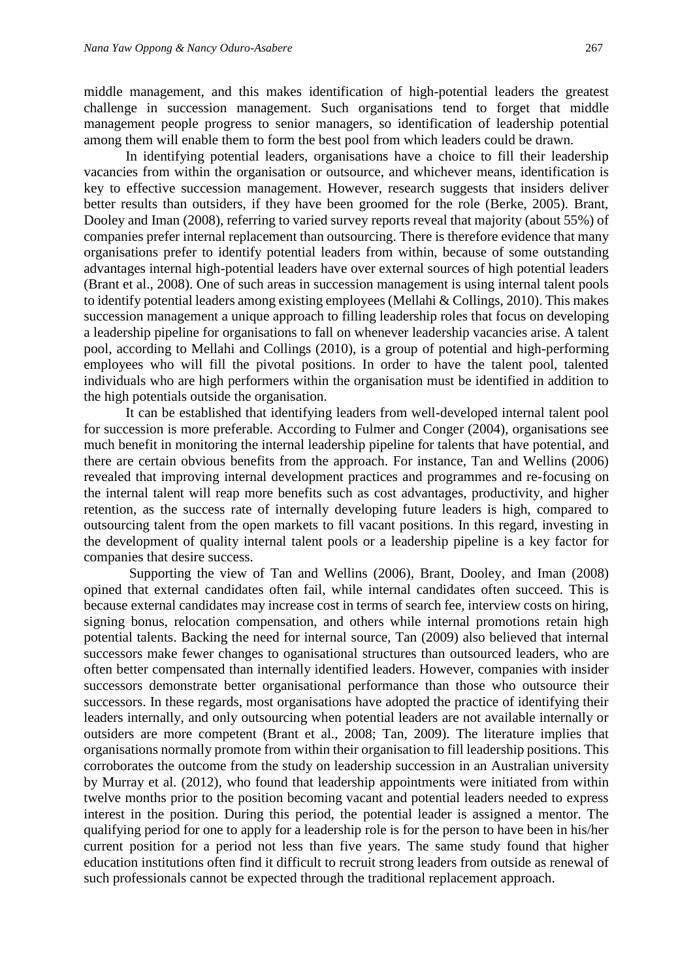middle management, and this makes identification of high-potential leaders the greatest challenge in succession management. Such organisations tend to forget that middle management people progress to senior managers, so identification of leadership potential among them will enable them to form the best pool from which leaders could be drawn.

In identifying potential leaders, organisations have a choice to fill their leadership vacancies from within the organisation or outsource, and whichever means, identification is key to effective succession management. However, research suggests that insiders deliver better results than outsiders, if they have been groomed for the role (Berke, 2005). Brant, Dooley and Iman (2008), referring to varied survey reports reveal that majority (about 55%) of companies prefer internal replacement than outsourcing. There is therefore evidence that many organisations prefer to identify potential leaders from within, because of some outstanding advantages internal high-potential leaders have over external sources of high potential leaders (Brant et al., 2008). One of such areas in succession management is using internal talent pools to identify potential leaders among existing employees (Mellahi & Collings, 2010). This makes succession management a unique approach to filling leadership roles that focus on developing a leadership pipeline for organisations to fall on whenever leadership vacancies arise. A talent pool, according to Mellahi and Collings (2010), is a group of potential and high-performing employees who will fill the pivotal positions. In order to have the talent pool, talented individuals who are high performers within the organisation must be identified in addition to the high potentials outside the organisation.

It can be established that identifying leaders from well-developed internal talent pool for succession is more preferable. According to Fulmer and Conger (2004), organisations see much benefit in monitoring the internal leadership pipeline for talents that have potential, and there are certain obvious benefits from the approach. For instance, Tan and Wellins (2006) revealed that improving internal development practices and programmes and re-focusing on the internal talent will reap more benefits such as cost advantages, productivity, and higher retention, as the success rate of internally developing future leaders is high, compared to outsourcing talent from the open markets to fill vacant positions. In this regard, investing in the development of quality internal talent pools or a leadership pipeline is a key factor for companies that desire success.

Supporting the view of Tan and Wellins (2006), Brant, Dooley, and Iman (2008) opined that external candidates often fail, while internal candidates often succeed. This is because external candidates may increase cost in terms of search fee, interview costs on hiring, signing bonus, relocation compensation, and others while internal promotions retain high potential talents. Backing the need for internal source, Tan (2009) also believed that internal successors make fewer changes to oganisational structures than outsourced leaders, who are often better compensated than internally identified leaders. However, companies with insider successors demonstrate better organisational performance than those who outsource their successors. In these regards, most organisations have adopted the practice of identifying their leaders internally, and only outsourcing when potential leaders are not available internally or outsiders are more competent (Brant et al., 2008; Tan, 2009). The literature implies that organisations normally promote from within their organisation to fill leadership positions. This corroborates the outcome from the study on leadership succession in an Australian university by Murray et al. (2012), who found that leadership appointments were initiated from within twelve months prior to the position becoming vacant and potential leaders needed to express interest in the position. During this period, the potential leader is assigned a mentor. The qualifying period for one to apply for a leadership role is for the person to have been in his/her current position for a period not less than five years. The same study found that higher education institutions often find it difficult to recruit strong leaders from outside as renewal of such professionals cannot be expected through the traditional replacement approach.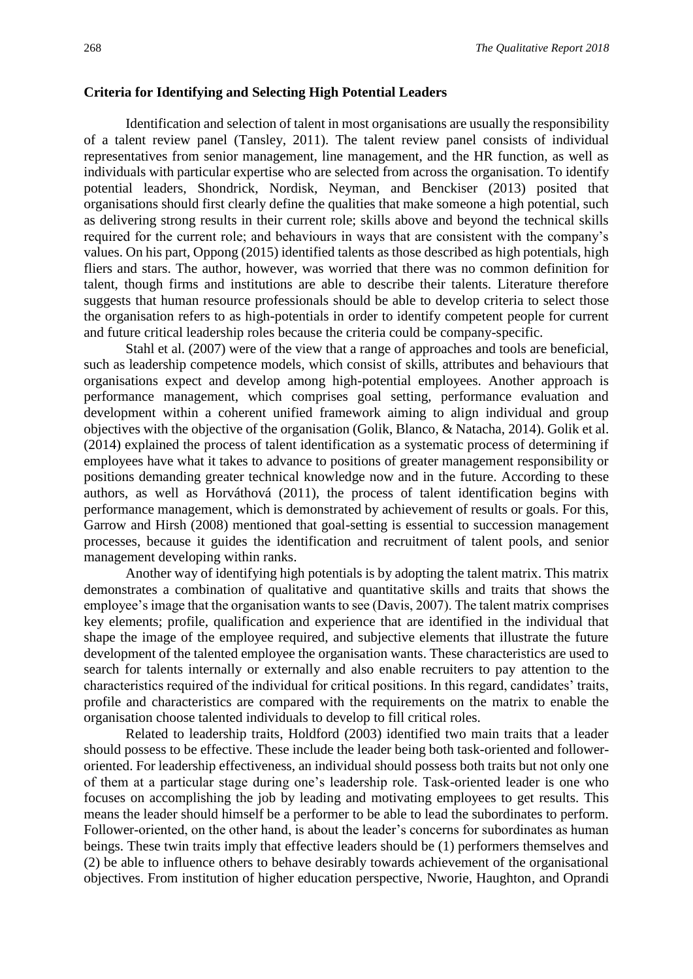#### **Criteria for Identifying and Selecting High Potential Leaders**

Identification and selection of talent in most organisations are usually the responsibility of a talent review panel (Tansley, 2011). The talent review panel consists of individual representatives from senior management, line management, and the HR function, as well as individuals with particular expertise who are selected from across the organisation. To identify potential leaders, Shondrick, Nordisk, Neyman, and Benckiser (2013) posited that organisations should first clearly define the qualities that make someone a high potential, such as delivering strong results in their current role; skills above and beyond the technical skills required for the current role; and behaviours in ways that are consistent with the company's values. On his part, Oppong (2015) identified talents as those described as high potentials, high fliers and stars. The author, however, was worried that there was no common definition for talent, though firms and institutions are able to describe their talents. Literature therefore suggests that human resource professionals should be able to develop criteria to select those the organisation refers to as high-potentials in order to identify competent people for current and future critical leadership roles because the criteria could be company-specific.

Stahl et al. (2007) were of the view that a range of approaches and tools are beneficial, such as leadership competence models, which consist of skills, attributes and behaviours that organisations expect and develop among high-potential employees. Another approach is performance management, which comprises goal setting, performance evaluation and development within a coherent unified framework aiming to align individual and group objectives with the objective of the organisation (Golik, Blanco, & Natacha, 2014). Golik et al. (2014) explained the process of talent identification as a systematic process of determining if employees have what it takes to advance to positions of greater management responsibility or positions demanding greater technical knowledge now and in the future. According to these authors, as well as Horváthová (2011), the process of talent identification begins with performance management, which is demonstrated by achievement of results or goals. For this, Garrow and Hirsh (2008) mentioned that goal-setting is essential to succession management processes, because it guides the identification and recruitment of talent pools, and senior management developing within ranks.

Another way of identifying high potentials is by adopting the talent matrix. This matrix demonstrates a combination of qualitative and quantitative skills and traits that shows the employee's image that the organisation wants to see (Davis, 2007). The talent matrix comprises key elements; profile, qualification and experience that are identified in the individual that shape the image of the employee required, and subjective elements that illustrate the future development of the talented employee the organisation wants. These characteristics are used to search for talents internally or externally and also enable recruiters to pay attention to the characteristics required of the individual for critical positions. In this regard, candidates' traits, profile and characteristics are compared with the requirements on the matrix to enable the organisation choose talented individuals to develop to fill critical roles.

Related to leadership traits, Holdford (2003) identified two main traits that a leader should possess to be effective. These include the leader being both task-oriented and followeroriented. For leadership effectiveness, an individual should possess both traits but not only one of them at a particular stage during one's leadership role. Task-oriented leader is one who focuses on accomplishing the job by leading and motivating employees to get results. This means the leader should himself be a performer to be able to lead the subordinates to perform. Follower-oriented, on the other hand, is about the leader's concerns for subordinates as human beings. These twin traits imply that effective leaders should be (1) performers themselves and (2) be able to influence others to behave desirably towards achievement of the organisational objectives. From institution of higher education perspective, Nworie, Haughton, and Oprandi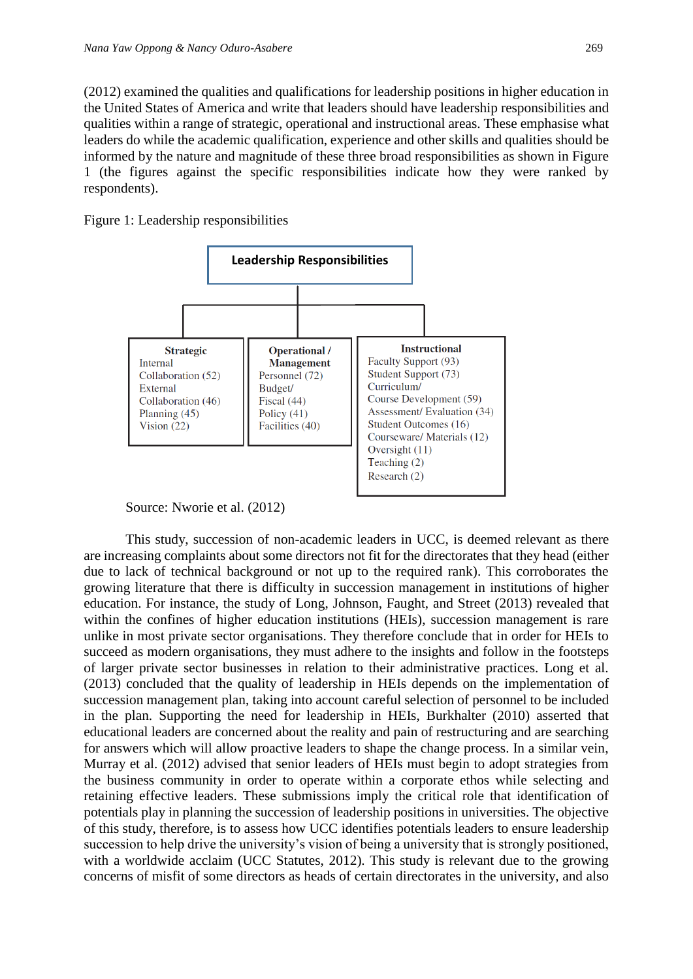(2012) examined the qualities and qualifications for leadership positions in higher education in the United States of America and write that leaders should have leadership responsibilities and qualities within a range of strategic, operational and instructional areas. These emphasise what leaders do while the academic qualification, experience and other skills and qualities should be informed by the nature and magnitude of these three broad responsibilities as shown in Figure 1 (the figures against the specific responsibilities indicate how they were ranked by respondents).

Figure 1: Leadership responsibilities



Source: Nworie et al. (2012)

This study, succession of non-academic leaders in UCC, is deemed relevant as there are increasing complaints about some directors not fit for the directorates that they head (either due to lack of technical background or not up to the required rank). This corroborates the growing literature that there is difficulty in succession management in institutions of higher education. For instance, the study of Long, Johnson, Faught, and Street (2013) revealed that within the confines of higher education institutions (HEIs), succession management is rare unlike in most private sector organisations. They therefore conclude that in order for HEIs to succeed as modern organisations, they must adhere to the insights and follow in the footsteps of larger private sector businesses in relation to their administrative practices. Long et al. (2013) concluded that the quality of leadership in HEIs depends on the implementation of succession management plan, taking into account careful selection of personnel to be included in the plan. Supporting the need for leadership in HEIs, Burkhalter (2010) asserted that educational leaders are concerned about the reality and pain of restructuring and are searching for answers which will allow proactive leaders to shape the change process. In a similar vein, Murray et al. (2012) advised that senior leaders of HEIs must begin to adopt strategies from the business community in order to operate within a corporate ethos while selecting and retaining effective leaders. These submissions imply the critical role that identification of potentials play in planning the succession of leadership positions in universities. The objective of this study, therefore, is to assess how UCC identifies potentials leaders to ensure leadership succession to help drive the university's vision of being a university that is strongly positioned, with a worldwide acclaim (UCC Statutes, 2012). This study is relevant due to the growing concerns of misfit of some directors as heads of certain directorates in the university, and also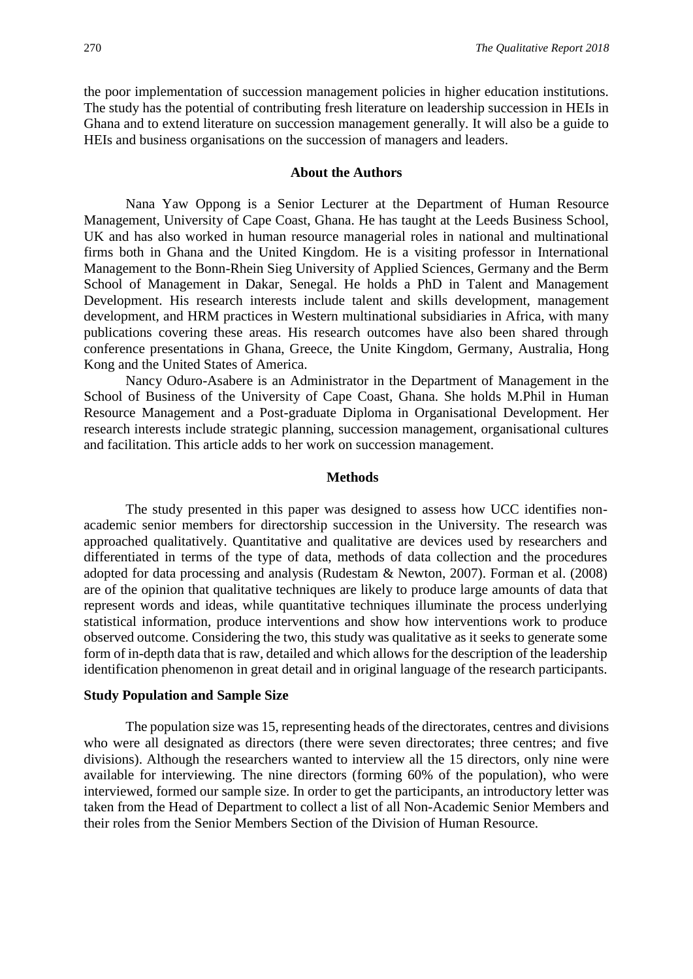the poor implementation of succession management policies in higher education institutions. The study has the potential of contributing fresh literature on leadership succession in HEIs in Ghana and to extend literature on succession management generally. It will also be a guide to HEIs and business organisations on the succession of managers and leaders.

#### **About the Authors**

Nana Yaw Oppong is a Senior Lecturer at the Department of Human Resource Management, University of Cape Coast, Ghana. He has taught at the Leeds Business School, UK and has also worked in human resource managerial roles in national and multinational firms both in Ghana and the United Kingdom. He is a visiting professor in International Management to the Bonn-Rhein Sieg University of Applied Sciences, Germany and the Berm School of Management in Dakar, Senegal. He holds a PhD in Talent and Management Development. His research interests include talent and skills development, management development, and HRM practices in Western multinational subsidiaries in Africa, with many publications covering these areas. His research outcomes have also been shared through conference presentations in Ghana, Greece, the Unite Kingdom, Germany, Australia, Hong Kong and the United States of America.

Nancy Oduro-Asabere is an Administrator in the Department of Management in the School of Business of the University of Cape Coast, Ghana. She holds M.Phil in Human Resource Management and a Post-graduate Diploma in Organisational Development. Her research interests include strategic planning, succession management, organisational cultures and facilitation. This article adds to her work on succession management.

#### **Methods**

The study presented in this paper was designed to assess how UCC identifies nonacademic senior members for directorship succession in the University. The research was approached qualitatively. Quantitative and qualitative are devices used by researchers and differentiated in terms of the type of data, methods of data collection and the procedures adopted for data processing and analysis (Rudestam & Newton, 2007). Forman et al. (2008) are of the opinion that qualitative techniques are likely to produce large amounts of data that represent words and ideas, while quantitative techniques illuminate the process underlying statistical information, produce interventions and show how interventions work to produce observed outcome. Considering the two, this study was qualitative as it seeks to generate some form of in-depth data that is raw, detailed and which allows for the description of the leadership identification phenomenon in great detail and in original language of the research participants.

#### **Study Population and Sample Size**

The population size was 15, representing heads of the directorates, centres and divisions who were all designated as directors (there were seven directorates; three centres; and five divisions). Although the researchers wanted to interview all the 15 directors, only nine were available for interviewing. The nine directors (forming 60% of the population), who were interviewed, formed our sample size. In order to get the participants, an introductory letter was taken from the Head of Department to collect a list of all Non-Academic Senior Members and their roles from the Senior Members Section of the Division of Human Resource.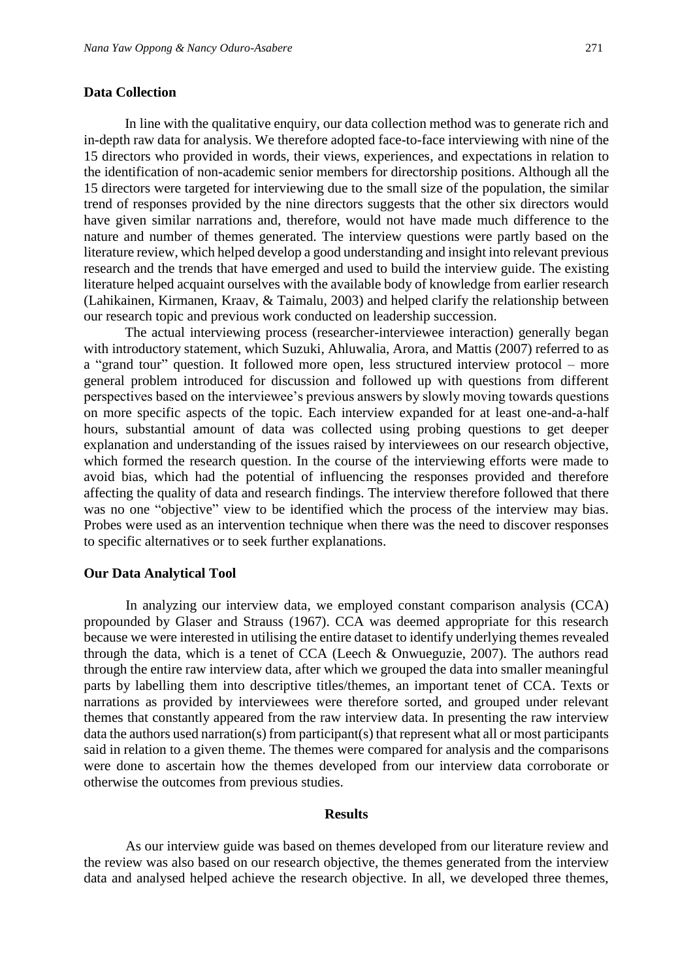#### **Data Collection**

In line with the qualitative enquiry, our data collection method was to generate rich and in-depth raw data for analysis. We therefore adopted face-to-face interviewing with nine of the 15 directors who provided in words, their views, experiences, and expectations in relation to the identification of non-academic senior members for directorship positions. Although all the 15 directors were targeted for interviewing due to the small size of the population, the similar trend of responses provided by the nine directors suggests that the other six directors would have given similar narrations and, therefore, would not have made much difference to the nature and number of themes generated. The interview questions were partly based on the literature review, which helped develop a good understanding and insight into relevant previous research and the trends that have emerged and used to build the interview guide. The existing literature helped acquaint ourselves with the available body of knowledge from earlier research (Lahikainen, Kirmanen, Kraav, & Taimalu, 2003) and helped clarify the relationship between our research topic and previous work conducted on leadership succession.

The actual interviewing process (researcher-interviewee interaction) generally began with introductory statement, which Suzuki, Ahluwalia, Arora, and Mattis (2007) referred to as a "grand tour" question. It followed more open, less structured interview protocol – more general problem introduced for discussion and followed up with questions from different perspectives based on the interviewee's previous answers by slowly moving towards questions on more specific aspects of the topic. Each interview expanded for at least one-and-a-half hours, substantial amount of data was collected using probing questions to get deeper explanation and understanding of the issues raised by interviewees on our research objective, which formed the research question. In the course of the interviewing efforts were made to avoid bias, which had the potential of influencing the responses provided and therefore affecting the quality of data and research findings. The interview therefore followed that there was no one "objective" view to be identified which the process of the interview may bias. Probes were used as an intervention technique when there was the need to discover responses to specific alternatives or to seek further explanations.

#### **Our Data Analytical Tool**

In analyzing our interview data, we employed constant comparison analysis (CCA) propounded by Glaser and Strauss (1967). CCA was deemed appropriate for this research because we were interested in utilising the entire dataset to identify underlying themes revealed through the data, which is a tenet of CCA (Leech & Onwueguzie, 2007). The authors read through the entire raw interview data, after which we grouped the data into smaller meaningful parts by labelling them into descriptive titles/themes, an important tenet of CCA. Texts or narrations as provided by interviewees were therefore sorted, and grouped under relevant themes that constantly appeared from the raw interview data. In presenting the raw interview data the authors used narration(s) from participant(s) that represent what all or most participants said in relation to a given theme. The themes were compared for analysis and the comparisons were done to ascertain how the themes developed from our interview data corroborate or otherwise the outcomes from previous studies.

#### **Results**

As our interview guide was based on themes developed from our literature review and the review was also based on our research objective, the themes generated from the interview data and analysed helped achieve the research objective. In all, we developed three themes,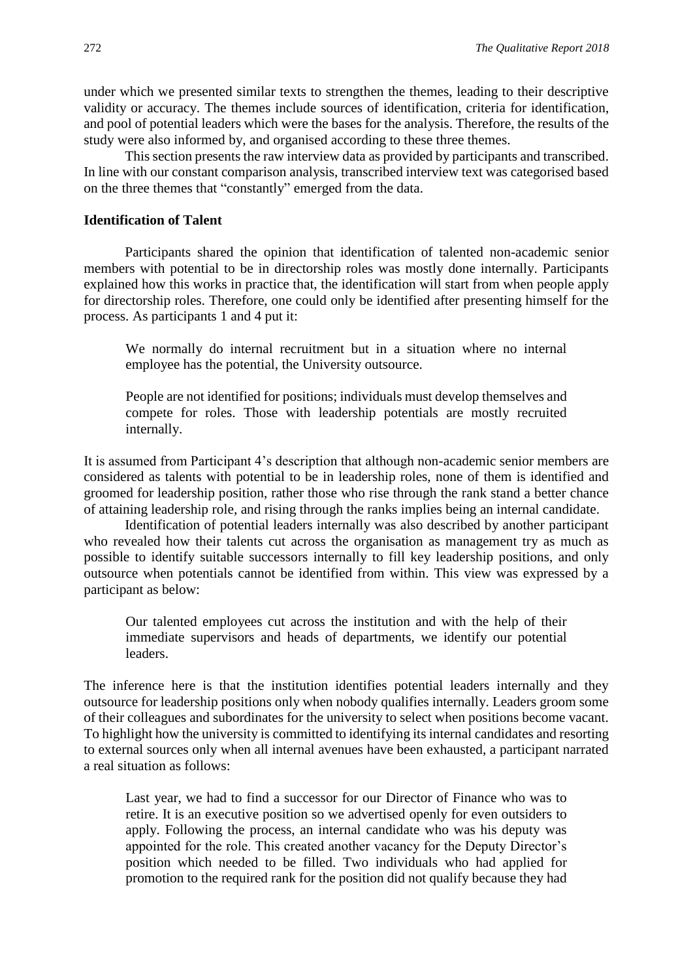under which we presented similar texts to strengthen the themes, leading to their descriptive validity or accuracy. The themes include sources of identification, criteria for identification, and pool of potential leaders which were the bases for the analysis. Therefore, the results of the study were also informed by, and organised according to these three themes.

This section presents the raw interview data as provided by participants and transcribed. In line with our constant comparison analysis, transcribed interview text was categorised based on the three themes that "constantly" emerged from the data.

#### **Identification of Talent**

Participants shared the opinion that identification of talented non-academic senior members with potential to be in directorship roles was mostly done internally. Participants explained how this works in practice that, the identification will start from when people apply for directorship roles. Therefore, one could only be identified after presenting himself for the process. As participants 1 and 4 put it:

We normally do internal recruitment but in a situation where no internal employee has the potential, the University outsource.

People are not identified for positions; individuals must develop themselves and compete for roles. Those with leadership potentials are mostly recruited internally.

It is assumed from Participant 4's description that although non-academic senior members are considered as talents with potential to be in leadership roles, none of them is identified and groomed for leadership position, rather those who rise through the rank stand a better chance of attaining leadership role, and rising through the ranks implies being an internal candidate.

Identification of potential leaders internally was also described by another participant who revealed how their talents cut across the organisation as management try as much as possible to identify suitable successors internally to fill key leadership positions, and only outsource when potentials cannot be identified from within. This view was expressed by a participant as below:

Our talented employees cut across the institution and with the help of their immediate supervisors and heads of departments, we identify our potential leaders.

The inference here is that the institution identifies potential leaders internally and they outsource for leadership positions only when nobody qualifies internally. Leaders groom some of their colleagues and subordinates for the university to select when positions become vacant. To highlight how the university is committed to identifying its internal candidates and resorting to external sources only when all internal avenues have been exhausted, a participant narrated a real situation as follows:

Last year, we had to find a successor for our Director of Finance who was to retire. It is an executive position so we advertised openly for even outsiders to apply. Following the process, an internal candidate who was his deputy was appointed for the role. This created another vacancy for the Deputy Director's position which needed to be filled. Two individuals who had applied for promotion to the required rank for the position did not qualify because they had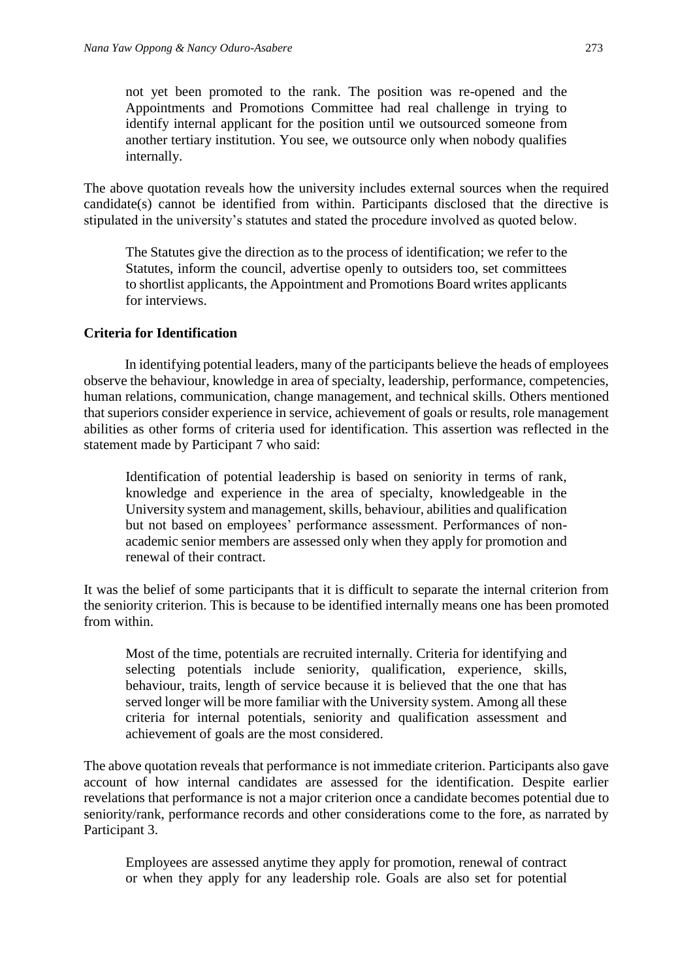not yet been promoted to the rank. The position was re-opened and the Appointments and Promotions Committee had real challenge in trying to identify internal applicant for the position until we outsourced someone from another tertiary institution. You see, we outsource only when nobody qualifies internally.

The above quotation reveals how the university includes external sources when the required candidate(s) cannot be identified from within. Participants disclosed that the directive is stipulated in the university's statutes and stated the procedure involved as quoted below.

The Statutes give the direction as to the process of identification; we refer to the Statutes, inform the council, advertise openly to outsiders too, set committees to shortlist applicants, the Appointment and Promotions Board writes applicants for interviews.

#### **Criteria for Identification**

In identifying potential leaders, many of the participants believe the heads of employees observe the behaviour, knowledge in area of specialty, leadership, performance, competencies, human relations, communication, change management, and technical skills. Others mentioned that superiors consider experience in service, achievement of goals or results, role management abilities as other forms of criteria used for identification. This assertion was reflected in the statement made by Participant 7 who said:

Identification of potential leadership is based on seniority in terms of rank, knowledge and experience in the area of specialty, knowledgeable in the University system and management, skills, behaviour, abilities and qualification but not based on employees' performance assessment. Performances of nonacademic senior members are assessed only when they apply for promotion and renewal of their contract.

It was the belief of some participants that it is difficult to separate the internal criterion from the seniority criterion. This is because to be identified internally means one has been promoted from within.

Most of the time, potentials are recruited internally. Criteria for identifying and selecting potentials include seniority, qualification, experience, skills, behaviour, traits, length of service because it is believed that the one that has served longer will be more familiar with the University system. Among all these criteria for internal potentials, seniority and qualification assessment and achievement of goals are the most considered.

The above quotation reveals that performance is not immediate criterion. Participants also gave account of how internal candidates are assessed for the identification. Despite earlier revelations that performance is not a major criterion once a candidate becomes potential due to seniority/rank, performance records and other considerations come to the fore, as narrated by Participant 3.

Employees are assessed anytime they apply for promotion, renewal of contract or when they apply for any leadership role. Goals are also set for potential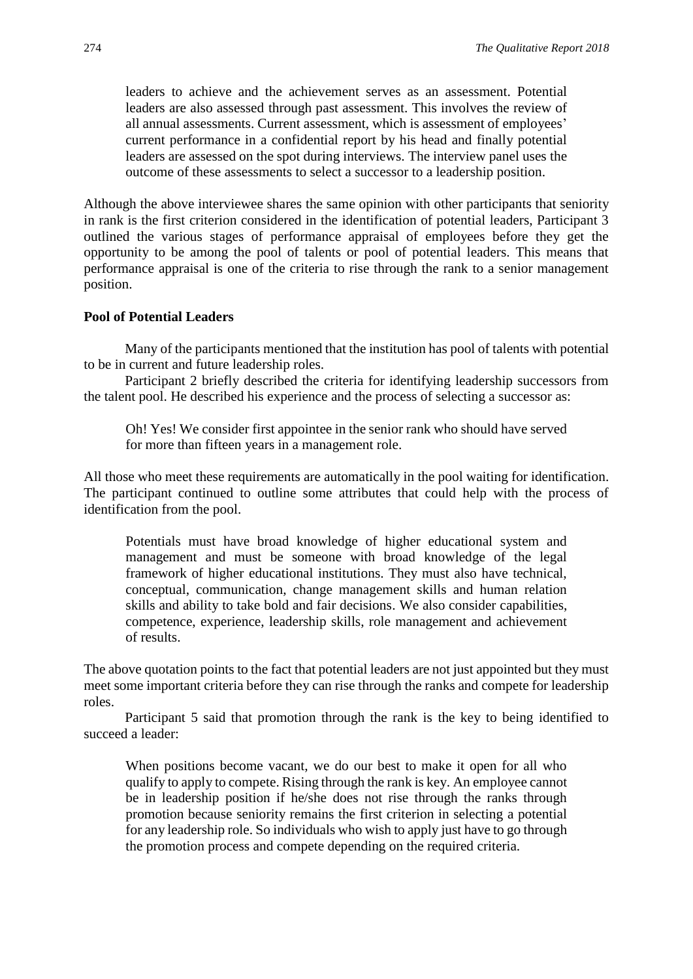leaders to achieve and the achievement serves as an assessment. Potential leaders are also assessed through past assessment. This involves the review of all annual assessments. Current assessment, which is assessment of employees' current performance in a confidential report by his head and finally potential leaders are assessed on the spot during interviews. The interview panel uses the outcome of these assessments to select a successor to a leadership position.

Although the above interviewee shares the same opinion with other participants that seniority in rank is the first criterion considered in the identification of potential leaders, Participant 3 outlined the various stages of performance appraisal of employees before they get the opportunity to be among the pool of talents or pool of potential leaders. This means that performance appraisal is one of the criteria to rise through the rank to a senior management position.

#### **Pool of Potential Leaders**

Many of the participants mentioned that the institution has pool of talents with potential to be in current and future leadership roles.

Participant 2 briefly described the criteria for identifying leadership successors from the talent pool. He described his experience and the process of selecting a successor as:

Oh! Yes! We consider first appointee in the senior rank who should have served for more than fifteen years in a management role.

All those who meet these requirements are automatically in the pool waiting for identification. The participant continued to outline some attributes that could help with the process of identification from the pool.

Potentials must have broad knowledge of higher educational system and management and must be someone with broad knowledge of the legal framework of higher educational institutions. They must also have technical, conceptual, communication, change management skills and human relation skills and ability to take bold and fair decisions. We also consider capabilities, competence, experience, leadership skills, role management and achievement of results.

The above quotation points to the fact that potential leaders are not just appointed but they must meet some important criteria before they can rise through the ranks and compete for leadership roles.

Participant 5 said that promotion through the rank is the key to being identified to succeed a leader:

When positions become vacant, we do our best to make it open for all who qualify to apply to compete. Rising through the rank is key. An employee cannot be in leadership position if he/she does not rise through the ranks through promotion because seniority remains the first criterion in selecting a potential for any leadership role. So individuals who wish to apply just have to go through the promotion process and compete depending on the required criteria.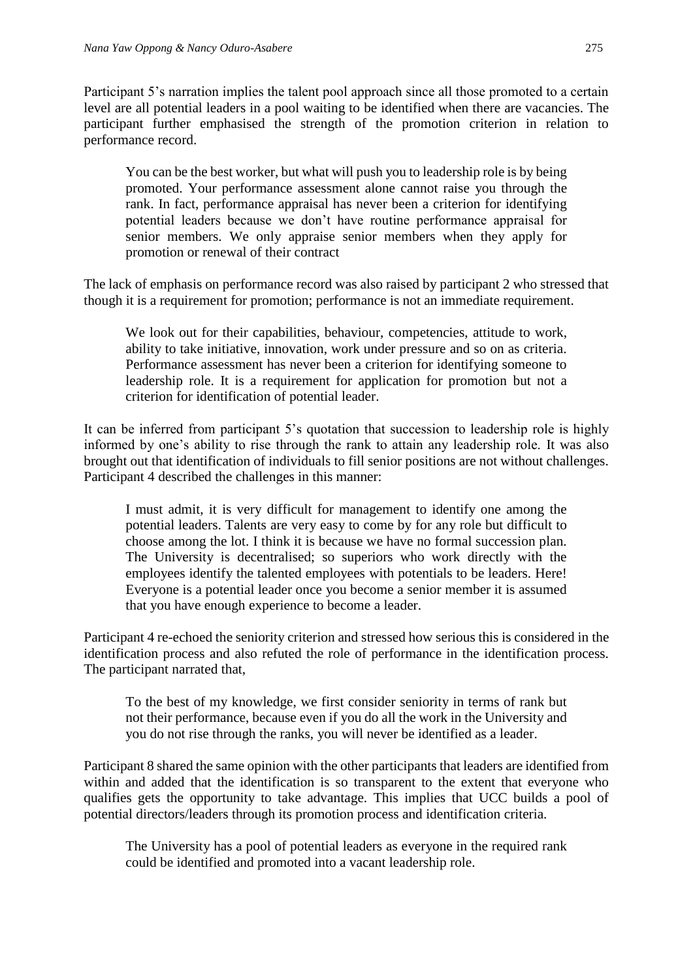Participant 5's narration implies the talent pool approach since all those promoted to a certain level are all potential leaders in a pool waiting to be identified when there are vacancies. The participant further emphasised the strength of the promotion criterion in relation to performance record.

You can be the best worker, but what will push you to leadership role is by being promoted. Your performance assessment alone cannot raise you through the rank. In fact, performance appraisal has never been a criterion for identifying potential leaders because we don't have routine performance appraisal for senior members. We only appraise senior members when they apply for promotion or renewal of their contract

The lack of emphasis on performance record was also raised by participant 2 who stressed that though it is a requirement for promotion; performance is not an immediate requirement.

We look out for their capabilities, behaviour, competencies, attitude to work, ability to take initiative, innovation, work under pressure and so on as criteria. Performance assessment has never been a criterion for identifying someone to leadership role. It is a requirement for application for promotion but not a criterion for identification of potential leader.

It can be inferred from participant 5's quotation that succession to leadership role is highly informed by one's ability to rise through the rank to attain any leadership role. It was also brought out that identification of individuals to fill senior positions are not without challenges. Participant 4 described the challenges in this manner:

I must admit, it is very difficult for management to identify one among the potential leaders. Talents are very easy to come by for any role but difficult to choose among the lot. I think it is because we have no formal succession plan. The University is decentralised; so superiors who work directly with the employees identify the talented employees with potentials to be leaders. Here! Everyone is a potential leader once you become a senior member it is assumed that you have enough experience to become a leader.

Participant 4 re-echoed the seniority criterion and stressed how serious this is considered in the identification process and also refuted the role of performance in the identification process. The participant narrated that,

To the best of my knowledge, we first consider seniority in terms of rank but not their performance, because even if you do all the work in the University and you do not rise through the ranks, you will never be identified as a leader.

Participant 8 shared the same opinion with the other participants that leaders are identified from within and added that the identification is so transparent to the extent that everyone who qualifies gets the opportunity to take advantage. This implies that UCC builds a pool of potential directors/leaders through its promotion process and identification criteria.

The University has a pool of potential leaders as everyone in the required rank could be identified and promoted into a vacant leadership role.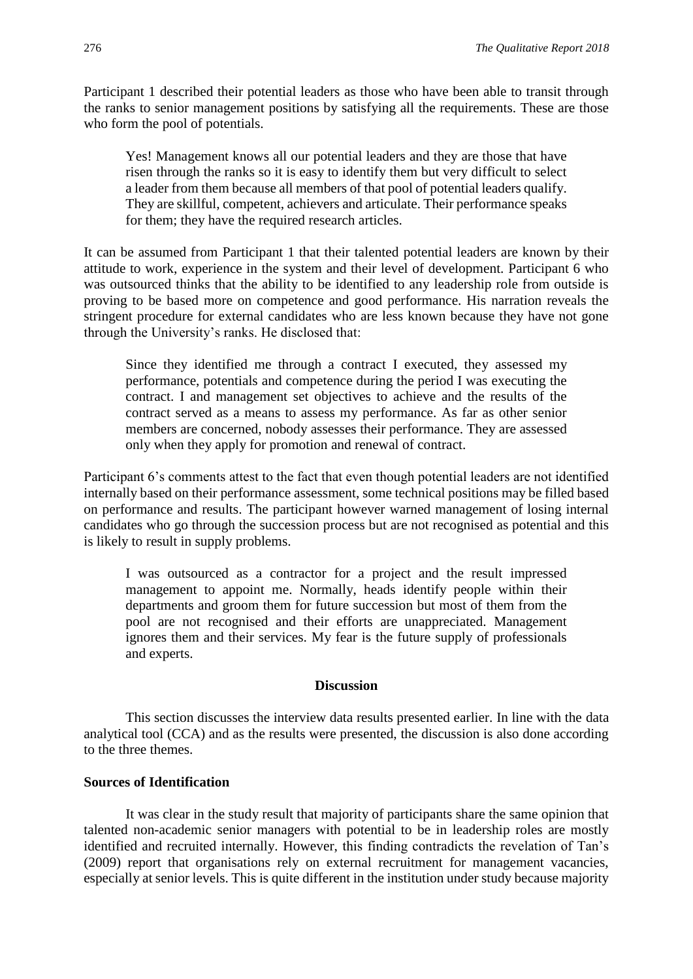Participant 1 described their potential leaders as those who have been able to transit through the ranks to senior management positions by satisfying all the requirements. These are those who form the pool of potentials.

Yes! Management knows all our potential leaders and they are those that have risen through the ranks so it is easy to identify them but very difficult to select a leader from them because all members of that pool of potential leaders qualify. They are skillful, competent, achievers and articulate. Their performance speaks for them; they have the required research articles.

It can be assumed from Participant 1 that their talented potential leaders are known by their attitude to work, experience in the system and their level of development. Participant 6 who was outsourced thinks that the ability to be identified to any leadership role from outside is proving to be based more on competence and good performance. His narration reveals the stringent procedure for external candidates who are less known because they have not gone through the University's ranks. He disclosed that:

Since they identified me through a contract I executed, they assessed my performance, potentials and competence during the period I was executing the contract. I and management set objectives to achieve and the results of the contract served as a means to assess my performance. As far as other senior members are concerned, nobody assesses their performance. They are assessed only when they apply for promotion and renewal of contract.

Participant 6's comments attest to the fact that even though potential leaders are not identified internally based on their performance assessment, some technical positions may be filled based on performance and results. The participant however warned management of losing internal candidates who go through the succession process but are not recognised as potential and this is likely to result in supply problems.

I was outsourced as a contractor for a project and the result impressed management to appoint me. Normally, heads identify people within their departments and groom them for future succession but most of them from the pool are not recognised and their efforts are unappreciated. Management ignores them and their services. My fear is the future supply of professionals and experts.

#### **Discussion**

This section discusses the interview data results presented earlier. In line with the data analytical tool (CCA) and as the results were presented, the discussion is also done according to the three themes.

# **Sources of Identification**

It was clear in the study result that majority of participants share the same opinion that talented non-academic senior managers with potential to be in leadership roles are mostly identified and recruited internally. However, this finding contradicts the revelation of Tan's (2009) report that organisations rely on external recruitment for management vacancies, especially at senior levels. This is quite different in the institution under study because majority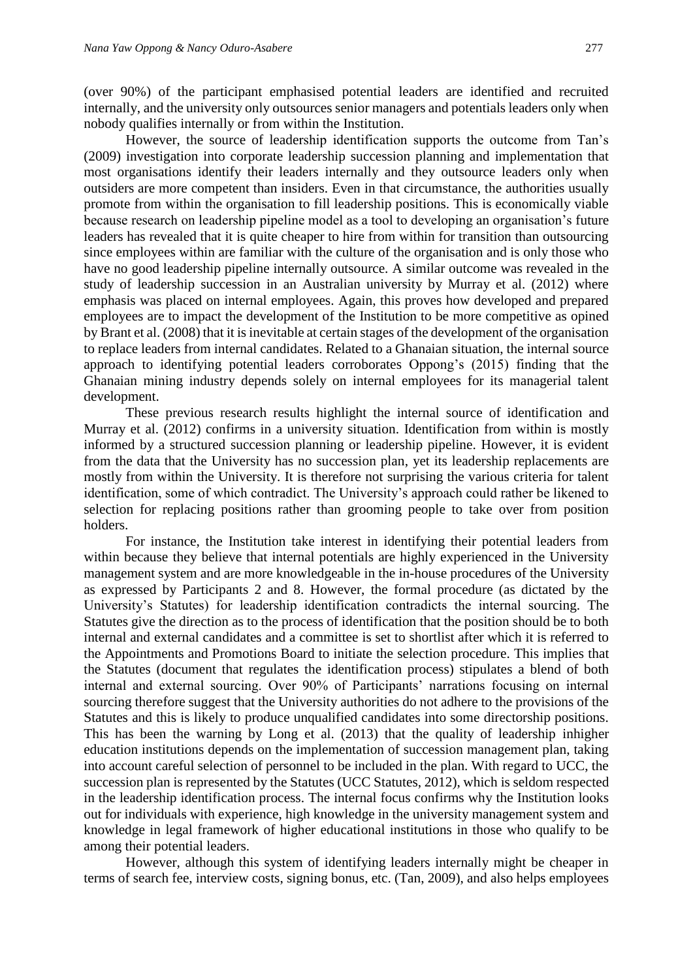(over 90%) of the participant emphasised potential leaders are identified and recruited internally, and the university only outsources senior managers and potentials leaders only when nobody qualifies internally or from within the Institution.

However, the source of leadership identification supports the outcome from Tan's (2009) investigation into corporate leadership succession planning and implementation that most organisations identify their leaders internally and they outsource leaders only when outsiders are more competent than insiders. Even in that circumstance, the authorities usually promote from within the organisation to fill leadership positions. This is economically viable because research on leadership pipeline model as a tool to developing an organisation's future leaders has revealed that it is quite cheaper to hire from within for transition than outsourcing since employees within are familiar with the culture of the organisation and is only those who have no good leadership pipeline internally outsource. A similar outcome was revealed in the study of leadership succession in an Australian university by Murray et al. (2012) where emphasis was placed on internal employees. Again, this proves how developed and prepared employees are to impact the development of the Institution to be more competitive as opined by Brant et al. (2008) that it is inevitable at certain stages of the development of the organisation to replace leaders from internal candidates. Related to a Ghanaian situation, the internal source approach to identifying potential leaders corroborates Oppong's (2015) finding that the Ghanaian mining industry depends solely on internal employees for its managerial talent development.

These previous research results highlight the internal source of identification and Murray et al. (2012) confirms in a university situation. Identification from within is mostly informed by a structured succession planning or leadership pipeline. However, it is evident from the data that the University has no succession plan, yet its leadership replacements are mostly from within the University. It is therefore not surprising the various criteria for talent identification, some of which contradict. The University's approach could rather be likened to selection for replacing positions rather than grooming people to take over from position holders.

For instance, the Institution take interest in identifying their potential leaders from within because they believe that internal potentials are highly experienced in the University management system and are more knowledgeable in the in-house procedures of the University as expressed by Participants 2 and 8. However, the formal procedure (as dictated by the University's Statutes) for leadership identification contradicts the internal sourcing. The Statutes give the direction as to the process of identification that the position should be to both internal and external candidates and a committee is set to shortlist after which it is referred to the Appointments and Promotions Board to initiate the selection procedure. This implies that the Statutes (document that regulates the identification process) stipulates a blend of both internal and external sourcing. Over 90% of Participants' narrations focusing on internal sourcing therefore suggest that the University authorities do not adhere to the provisions of the Statutes and this is likely to produce unqualified candidates into some directorship positions. This has been the warning by Long et al. (2013) that the quality of leadership inhigher education institutions depends on the implementation of succession management plan, taking into account careful selection of personnel to be included in the plan. With regard to UCC, the succession plan is represented by the Statutes (UCC Statutes, 2012), which is seldom respected in the leadership identification process. The internal focus confirms why the Institution looks out for individuals with experience, high knowledge in the university management system and knowledge in legal framework of higher educational institutions in those who qualify to be among their potential leaders.

However, although this system of identifying leaders internally might be cheaper in terms of search fee, interview costs, signing bonus, etc. (Tan, 2009), and also helps employees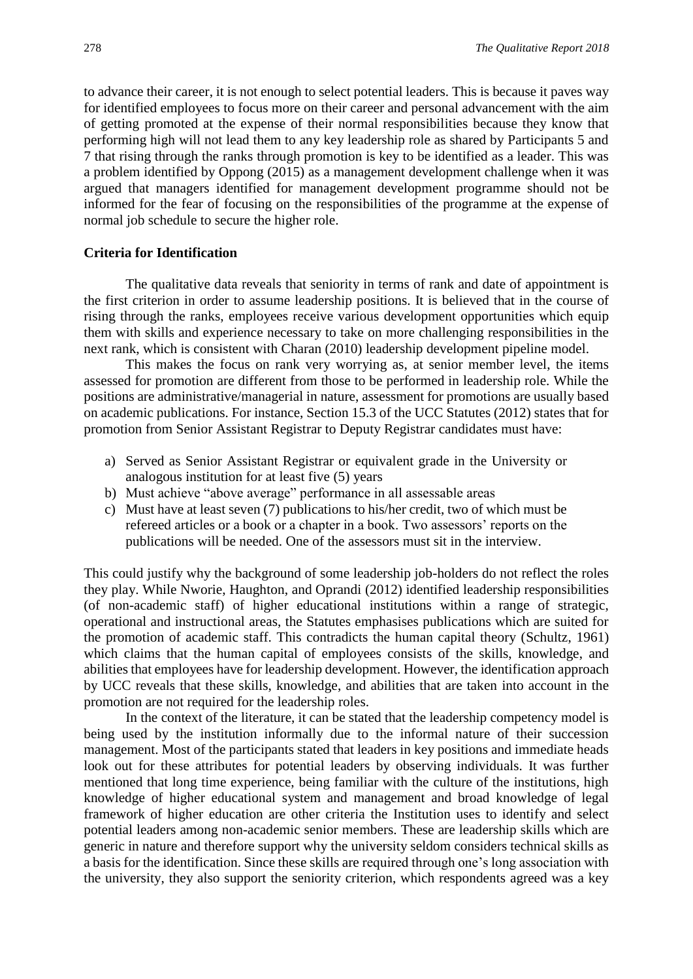to advance their career, it is not enough to select potential leaders. This is because it paves way for identified employees to focus more on their career and personal advancement with the aim of getting promoted at the expense of their normal responsibilities because they know that performing high will not lead them to any key leadership role as shared by Participants 5 and 7 that rising through the ranks through promotion is key to be identified as a leader. This was a problem identified by Oppong (2015) as a management development challenge when it was argued that managers identified for management development programme should not be informed for the fear of focusing on the responsibilities of the programme at the expense of normal job schedule to secure the higher role.

### **Criteria for Identification**

The qualitative data reveals that seniority in terms of rank and date of appointment is the first criterion in order to assume leadership positions. It is believed that in the course of rising through the ranks, employees receive various development opportunities which equip them with skills and experience necessary to take on more challenging responsibilities in the next rank, which is consistent with Charan (2010) leadership development pipeline model.

This makes the focus on rank very worrying as, at senior member level, the items assessed for promotion are different from those to be performed in leadership role. While the positions are administrative/managerial in nature, assessment for promotions are usually based on academic publications. For instance, Section 15.3 of the UCC Statutes (2012) states that for promotion from Senior Assistant Registrar to Deputy Registrar candidates must have:

- a) Served as Senior Assistant Registrar or equivalent grade in the University or analogous institution for at least five (5) years
- b) Must achieve "above average" performance in all assessable areas
- c) Must have at least seven (7) publications to his/her credit, two of which must be refereed articles or a book or a chapter in a book. Two assessors' reports on the publications will be needed. One of the assessors must sit in the interview.

This could justify why the background of some leadership job-holders do not reflect the roles they play. While Nworie, Haughton, and Oprandi (2012) identified leadership responsibilities (of non-academic staff) of higher educational institutions within a range of strategic, operational and instructional areas, the Statutes emphasises publications which are suited for the promotion of academic staff. This contradicts the human capital theory (Schultz, 1961) which claims that the human capital of employees consists of the skills, knowledge, and abilities that employees have for leadership development. However, the identification approach by UCC reveals that these skills, knowledge, and abilities that are taken into account in the promotion are not required for the leadership roles.

In the context of the literature, it can be stated that the leadership competency model is being used by the institution informally due to the informal nature of their succession management. Most of the participants stated that leaders in key positions and immediate heads look out for these attributes for potential leaders by observing individuals. It was further mentioned that long time experience, being familiar with the culture of the institutions, high knowledge of higher educational system and management and broad knowledge of legal framework of higher education are other criteria the Institution uses to identify and select potential leaders among non-academic senior members. These are leadership skills which are generic in nature and therefore support why the university seldom considers technical skills as a basis for the identification. Since these skills are required through one's long association with the university, they also support the seniority criterion, which respondents agreed was a key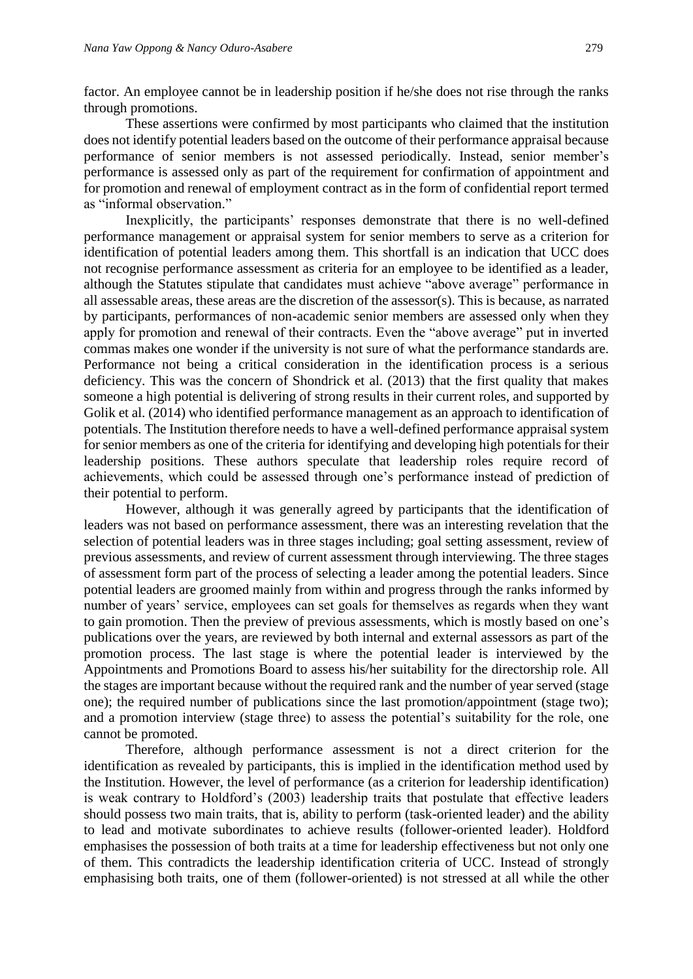factor. An employee cannot be in leadership position if he/she does not rise through the ranks through promotions.

These assertions were confirmed by most participants who claimed that the institution does not identify potential leaders based on the outcome of their performance appraisal because performance of senior members is not assessed periodically. Instead, senior member's performance is assessed only as part of the requirement for confirmation of appointment and for promotion and renewal of employment contract as in the form of confidential report termed as "informal observation."

Inexplicitly, the participants' responses demonstrate that there is no well-defined performance management or appraisal system for senior members to serve as a criterion for identification of potential leaders among them. This shortfall is an indication that UCC does not recognise performance assessment as criteria for an employee to be identified as a leader, although the Statutes stipulate that candidates must achieve "above average" performance in all assessable areas, these areas are the discretion of the assessor(s). This is because, as narrated by participants, performances of non-academic senior members are assessed only when they apply for promotion and renewal of their contracts. Even the "above average" put in inverted commas makes one wonder if the university is not sure of what the performance standards are. Performance not being a critical consideration in the identification process is a serious deficiency. This was the concern of Shondrick et al. (2013) that the first quality that makes someone a high potential is delivering of strong results in their current roles, and supported by Golik et al. (2014) who identified performance management as an approach to identification of potentials. The Institution therefore needs to have a well-defined performance appraisal system for senior members as one of the criteria for identifying and developing high potentials for their leadership positions. These authors speculate that leadership roles require record of achievements, which could be assessed through one's performance instead of prediction of their potential to perform.

However, although it was generally agreed by participants that the identification of leaders was not based on performance assessment, there was an interesting revelation that the selection of potential leaders was in three stages including; goal setting assessment, review of previous assessments, and review of current assessment through interviewing. The three stages of assessment form part of the process of selecting a leader among the potential leaders. Since potential leaders are groomed mainly from within and progress through the ranks informed by number of years' service, employees can set goals for themselves as regards when they want to gain promotion. Then the preview of previous assessments, which is mostly based on one's publications over the years, are reviewed by both internal and external assessors as part of the promotion process. The last stage is where the potential leader is interviewed by the Appointments and Promotions Board to assess his/her suitability for the directorship role. All the stages are important because without the required rank and the number of year served (stage one); the required number of publications since the last promotion/appointment (stage two); and a promotion interview (stage three) to assess the potential's suitability for the role, one cannot be promoted.

Therefore, although performance assessment is not a direct criterion for the identification as revealed by participants, this is implied in the identification method used by the Institution. However, the level of performance (as a criterion for leadership identification) is weak contrary to Holdford's (2003) leadership traits that postulate that effective leaders should possess two main traits, that is, ability to perform (task-oriented leader) and the ability to lead and motivate subordinates to achieve results (follower-oriented leader). Holdford emphasises the possession of both traits at a time for leadership effectiveness but not only one of them. This contradicts the leadership identification criteria of UCC. Instead of strongly emphasising both traits, one of them (follower-oriented) is not stressed at all while the other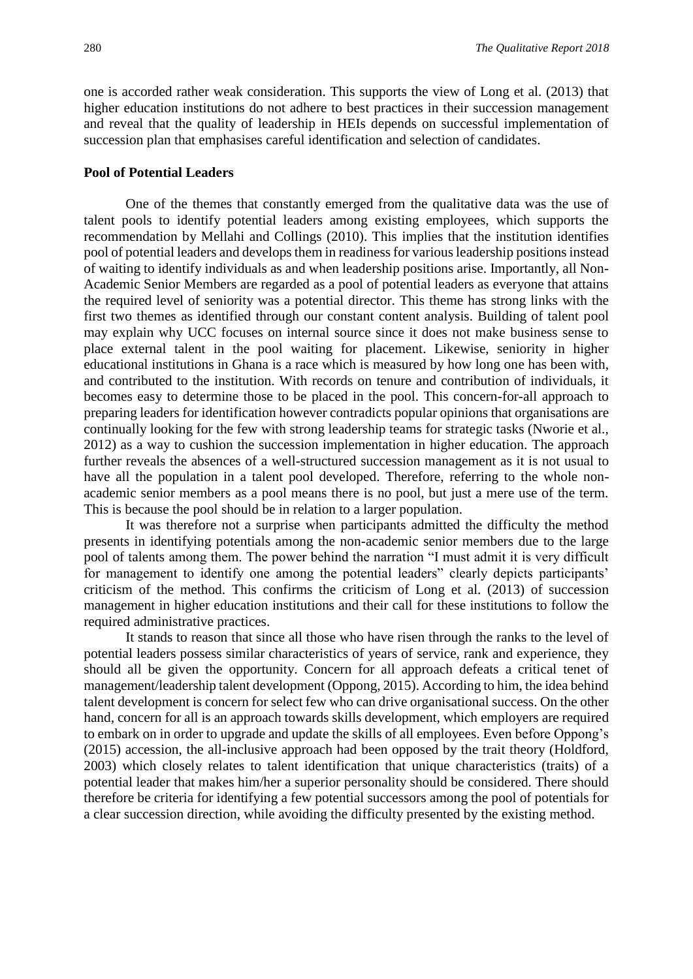one is accorded rather weak consideration. This supports the view of Long et al. (2013) that higher education institutions do not adhere to best practices in their succession management and reveal that the quality of leadership in HEIs depends on successful implementation of succession plan that emphasises careful identification and selection of candidates.

#### **Pool of Potential Leaders**

One of the themes that constantly emerged from the qualitative data was the use of talent pools to identify potential leaders among existing employees, which supports the recommendation by Mellahi and Collings (2010). This implies that the institution identifies pool of potential leaders and develops them in readiness for various leadership positions instead of waiting to identify individuals as and when leadership positions arise. Importantly, all Non-Academic Senior Members are regarded as a pool of potential leaders as everyone that attains the required level of seniority was a potential director. This theme has strong links with the first two themes as identified through our constant content analysis. Building of talent pool may explain why UCC focuses on internal source since it does not make business sense to place external talent in the pool waiting for placement. Likewise, seniority in higher educational institutions in Ghana is a race which is measured by how long one has been with, and contributed to the institution. With records on tenure and contribution of individuals, it becomes easy to determine those to be placed in the pool. This concern-for-all approach to preparing leaders for identification however contradicts popular opinions that organisations are continually looking for the few with strong leadership teams for strategic tasks (Nworie et al., 2012) as a way to cushion the succession implementation in higher education. The approach further reveals the absences of a well-structured succession management as it is not usual to have all the population in a talent pool developed. Therefore, referring to the whole nonacademic senior members as a pool means there is no pool, but just a mere use of the term. This is because the pool should be in relation to a larger population.

It was therefore not a surprise when participants admitted the difficulty the method presents in identifying potentials among the non-academic senior members due to the large pool of talents among them. The power behind the narration "I must admit it is very difficult for management to identify one among the potential leaders" clearly depicts participants' criticism of the method. This confirms the criticism of Long et al. (2013) of succession management in higher education institutions and their call for these institutions to follow the required administrative practices.

It stands to reason that since all those who have risen through the ranks to the level of potential leaders possess similar characteristics of years of service, rank and experience, they should all be given the opportunity. Concern for all approach defeats a critical tenet of management/leadership talent development (Oppong, 2015). According to him, the idea behind talent development is concern for select few who can drive organisational success. On the other hand, concern for all is an approach towards skills development, which employers are required to embark on in order to upgrade and update the skills of all employees. Even before Oppong's (2015) accession, the all-inclusive approach had been opposed by the trait theory (Holdford, 2003) which closely relates to talent identification that unique characteristics (traits) of a potential leader that makes him/her a superior personality should be considered. There should therefore be criteria for identifying a few potential successors among the pool of potentials for a clear succession direction, while avoiding the difficulty presented by the existing method.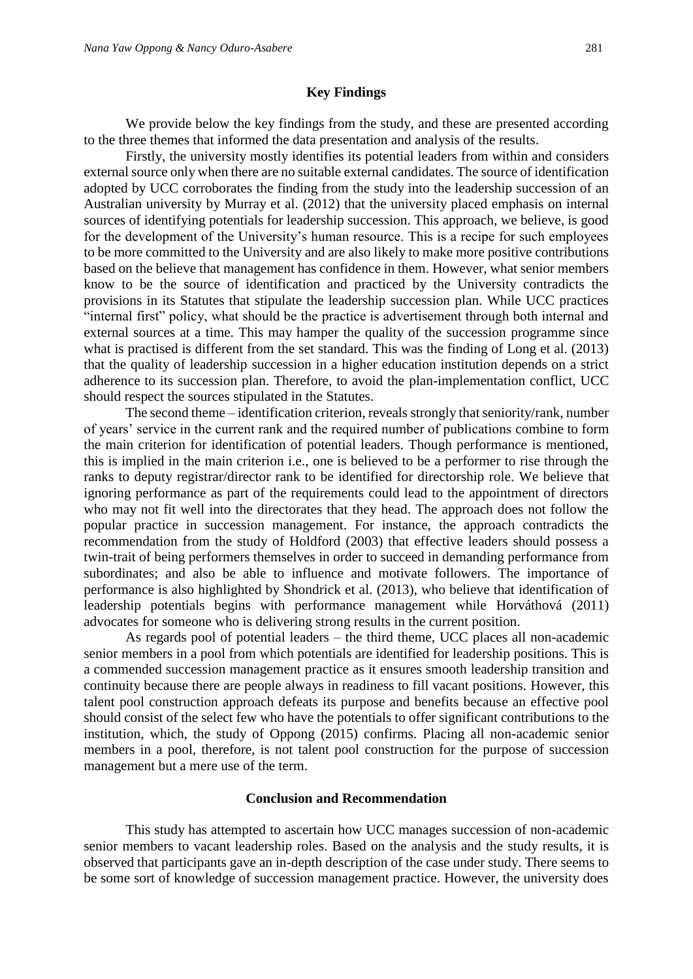#### **Key Findings**

We provide below the key findings from the study, and these are presented according to the three themes that informed the data presentation and analysis of the results.

Firstly, the university mostly identifies its potential leaders from within and considers external source only when there are no suitable external candidates. The source of identification adopted by UCC corroborates the finding from the study into the leadership succession of an Australian university by Murray et al. (2012) that the university placed emphasis on internal sources of identifying potentials for leadership succession. This approach, we believe, is good for the development of the University's human resource. This is a recipe for such employees to be more committed to the University and are also likely to make more positive contributions based on the believe that management has confidence in them. However, what senior members know to be the source of identification and practiced by the University contradicts the provisions in its Statutes that stipulate the leadership succession plan. While UCC practices "internal first" policy, what should be the practice is advertisement through both internal and external sources at a time. This may hamper the quality of the succession programme since what is practised is different from the set standard. This was the finding of Long et al. (2013) that the quality of leadership succession in a higher education institution depends on a strict adherence to its succession plan. Therefore, to avoid the plan-implementation conflict, UCC should respect the sources stipulated in the Statutes.

The second theme – identification criterion, reveals strongly that seniority/rank, number of years' service in the current rank and the required number of publications combine to form the main criterion for identification of potential leaders. Though performance is mentioned, this is implied in the main criterion i.e., one is believed to be a performer to rise through the ranks to deputy registrar/director rank to be identified for directorship role. We believe that ignoring performance as part of the requirements could lead to the appointment of directors who may not fit well into the directorates that they head. The approach does not follow the popular practice in succession management. For instance, the approach contradicts the recommendation from the study of Holdford (2003) that effective leaders should possess a twin-trait of being performers themselves in order to succeed in demanding performance from subordinates; and also be able to influence and motivate followers. The importance of performance is also highlighted by Shondrick et al. (2013), who believe that identification of leadership potentials begins with performance management while Horváthová (2011) advocates for someone who is delivering strong results in the current position.

As regards pool of potential leaders – the third theme, UCC places all non-academic senior members in a pool from which potentials are identified for leadership positions. This is a commended succession management practice as it ensures smooth leadership transition and continuity because there are people always in readiness to fill vacant positions. However, this talent pool construction approach defeats its purpose and benefits because an effective pool should consist of the select few who have the potentials to offer significant contributions to the institution, which, the study of Oppong (2015) confirms. Placing all non-academic senior members in a pool, therefore, is not talent pool construction for the purpose of succession management but a mere use of the term.

#### **Conclusion and Recommendation**

This study has attempted to ascertain how UCC manages succession of non-academic senior members to vacant leadership roles. Based on the analysis and the study results, it is observed that participants gave an in-depth description of the case under study. There seems to be some sort of knowledge of succession management practice. However, the university does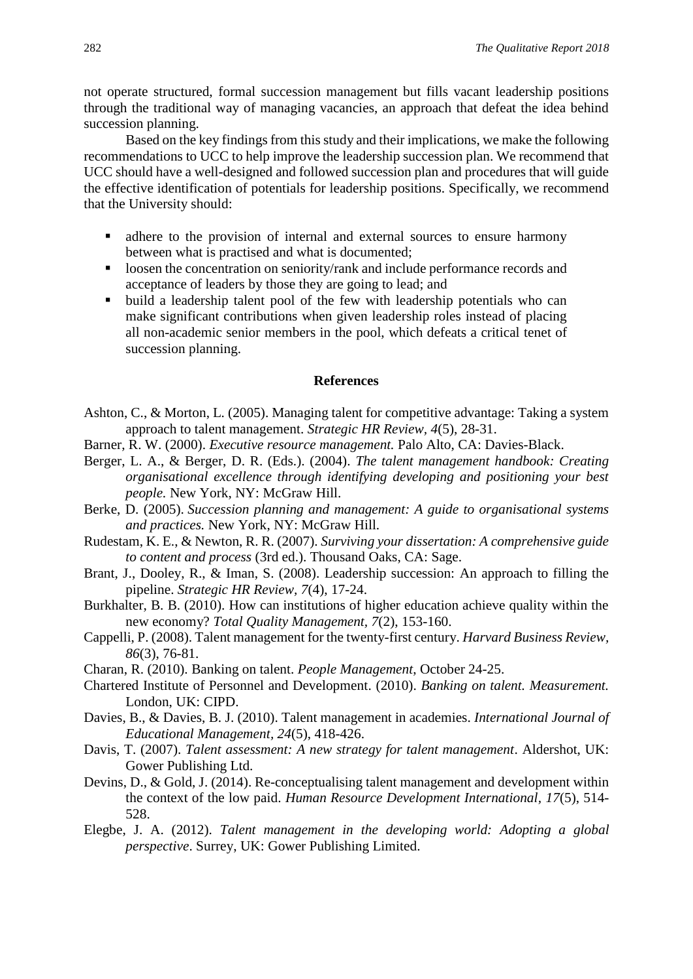not operate structured, formal succession management but fills vacant leadership positions through the traditional way of managing vacancies, an approach that defeat the idea behind succession planning.

Based on the key findings from this study and their implications, we make the following recommendations to UCC to help improve the leadership succession plan. We recommend that UCC should have a well-designed and followed succession plan and procedures that will guide the effective identification of potentials for leadership positions. Specifically, we recommend that the University should:

- adhere to the provision of internal and external sources to ensure harmony between what is practised and what is documented;
- **loosen the concentration on seniority/rank and include performance records and** acceptance of leaders by those they are going to lead; and
- build a leadership talent pool of the few with leadership potentials who can make significant contributions when given leadership roles instead of placing all non-academic senior members in the pool, which defeats a critical tenet of succession planning.

#### **References**

- Ashton, C., & Morton, L. (2005). Managing talent for competitive advantage: Taking a system approach to talent management. *Strategic HR Review, 4*(5), 28-31.
- Barner, R. W. (2000). *Executive resource management.* Palo Alto, CA: Davies-Black.
- Berger, L. A., & Berger, D. R. (Eds.). (2004). *The talent management handbook: Creating organisational excellence through identifying developing and positioning your best people.* New York, NY: McGraw Hill.
- Berke, D. (2005). *Succession planning and management: A guide to organisational systems and practices.* New York, NY: McGraw Hill.
- Rudestam, K. E., & Newton, R. R. (2007). *Surviving your dissertation: A comprehensive guide to content and process* (3rd ed.). Thousand Oaks, CA: Sage.
- Brant, J., Dooley, R., & Iman, S. (2008). Leadership succession: An approach to filling the pipeline. *Strategic HR Review, 7*(4), 17-24.
- Burkhalter, B. B. (2010). How can institutions of higher education achieve quality within the new economy? *Total Quality Management, 7*(2), 153-160.
- Cappelli, P. (2008). Talent management for the twenty-first century. *Harvard Business Review, 86*(3), 76-81.
- Charan, R. (2010). Banking on talent. *People Management*, October 24-25.
- Chartered Institute of Personnel and Development. (2010). *Banking on talent. Measurement.* London, UK: CIPD.
- Davies, B., & Davies, B. J. (2010). Talent management in academies. *International Journal of Educational Management, 24*(5), 418-426.
- Davis, T. (2007). *Talent assessment: A new strategy for talent management*. Aldershot, UK: Gower Publishing Ltd.
- Devins, D., & Gold, J. (2014). Re-conceptualising talent management and development within the context of the low paid. *Human Resource Development International, 17*(5), 514- 528.
- Elegbe, J. A. (2012). *Talent management in the developing world: Adopting a global perspective*. Surrey, UK: Gower Publishing Limited.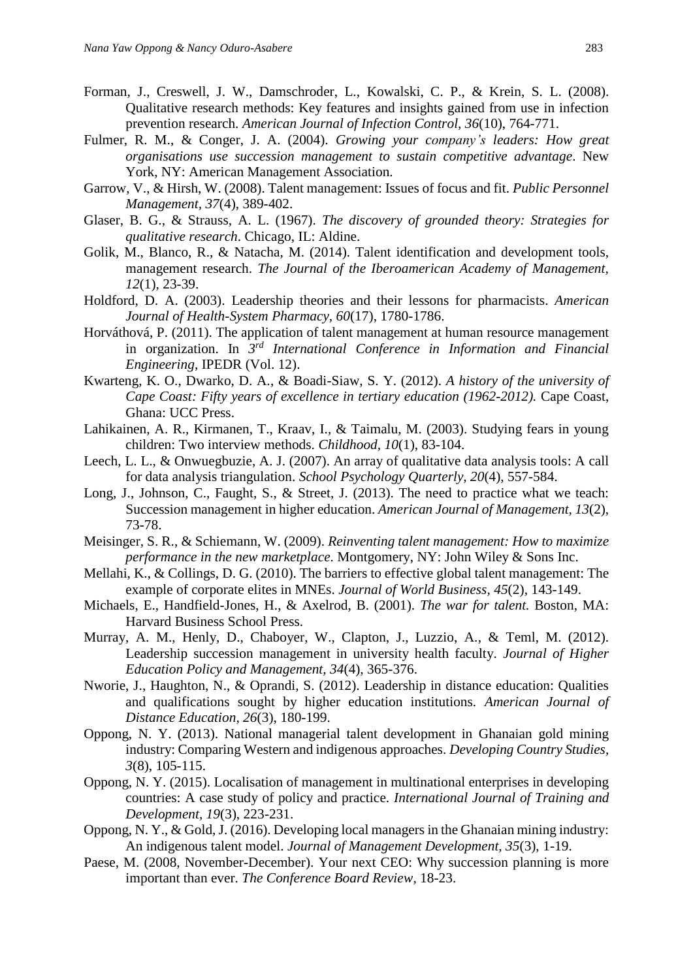- Forman, J., Creswell, J. W., Damschroder, L., Kowalski, C. P., & Krein, S. L. (2008). Qualitative research methods: Key features and insights gained from use in infection prevention research. *American Journal of Infection Control, 36*(10), 764-771.
- Fulmer, R. M., & Conger, J. A. (2004). *Growing your company's leaders: How great organisations use succession management to sustain competitive advantage*. New York, NY: American Management Association.
- Garrow, V., & Hirsh, W. (2008). Talent management: Issues of focus and fit. *Public Personnel Management, 37*(4), 389-402.
- Glaser, B. G., & Strauss, A. L. (1967). *The discovery of grounded theory: Strategies for qualitative research*. Chicago, IL: Aldine.
- Golik, M., Blanco, R., & Natacha, M. (2014). Talent identification and development tools, management research. *The Journal of the Iberoamerican Academy of Management, 12*(1), 23-39.
- Holdford, D. A. (2003). Leadership theories and their lessons for pharmacists. *American Journal of Health-System Pharmacy, 60*(17), 1780-1786.
- Horváthová, P. (2011). The application of talent management at human resource management in organization. In *3 rd International Conference in Information and Financial Engineering*, IPEDR (Vol. 12).
- Kwarteng, K. O., Dwarko, D. A., & Boadi-Siaw, S. Y. (2012). *A history of the university of Cape Coast: Fifty years of excellence in tertiary education (1962-2012).* Cape Coast, Ghana: UCC Press.
- Lahikainen, A. R., Kirmanen, T., Kraav, I., & Taimalu, M. (2003). Studying fears in young children: Two interview methods. *Childhood, 10*(1), 83-104.
- Leech, L. L., & Onwuegbuzie, A. J. (2007). An array of qualitative data analysis tools: A call for data analysis triangulation. *School Psychology Quarterly, 20*(4), 557-584.
- Long, J., Johnson, C., Faught, S., & Street, J. (2013). The need to practice what we teach: Succession management in higher education. *American Journal of Management, 13*(2), 73-78.
- Meisinger, S. R., & Schiemann, W. (2009). *Reinventing talent management: How to maximize performance in the new marketplace*. Montgomery, NY: John Wiley & Sons Inc.
- Mellahi, K., & Collings, D. G. (2010). The barriers to effective global talent management: The example of corporate elites in MNEs. *Journal of World Business, 45*(2), 143-149.
- Michaels, E., Handfield-Jones, H., & Axelrod, B. (2001). *The war for talent.* Boston, MA: Harvard Business School Press.
- Murray, A. M., Henly, D., Chaboyer, W., Clapton, J., Luzzio, A., & Teml, M. (2012). Leadership succession management in university health faculty. *Journal of Higher Education Policy and Management, 34*(4), 365-376.
- Nworie, J., Haughton, N., & Oprandi, S. (2012). Leadership in distance education: Qualities and qualifications sought by higher education institutions. *American Journal of Distance Education, 26*(3), 180-199.
- Oppong, N. Y. (2013). National managerial talent development in Ghanaian gold mining industry: Comparing Western and indigenous approaches. *Developing Country Studies, 3*(8), 105-115.
- Oppong, N. Y. (2015). Localisation of management in multinational enterprises in developing countries: A case study of policy and practice. *International Journal of Training and Development, 19*(3), 223-231.
- Oppong, N. Y., & Gold, J. (2016). Developing local managers in the Ghanaian mining industry: An indigenous talent model. *Journal of Management Development, 35*(3), 1-19.
- Paese, M. (2008, November-December). Your next CEO: Why succession planning is more important than ever. *The Conference Board Review*, 18-23.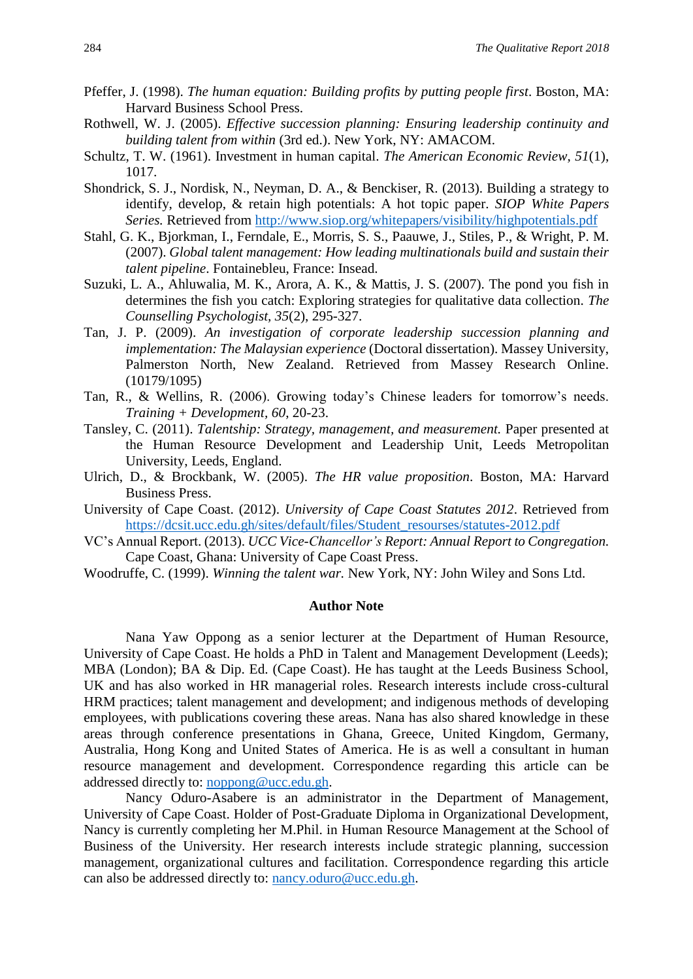- Pfeffer, J. (1998). *The human equation: Building profits by putting people first*. Boston, MA: Harvard Business School Press.
- Rothwell, W. J. (2005). *Effective succession planning: Ensuring leadership continuity and building talent from within* (3rd ed.). New York, NY: AMACOM.
- Schultz, T. W. (1961). Investment in human capital. *The American Economic Review, 51*(1), 1017.
- Shondrick, S. J., Nordisk, N., Neyman, D. A., & Benckiser, R. (2013). Building a strategy to identify, develop, & retain high potentials: A hot topic paper. *SIOP White Papers Series.* Retrieved from<http://www.siop.org/whitepapers/visibility/highpotentials.pdf>
- Stahl, G. K., Bjorkman, I., Ferndale, E., Morris, S. S., Paauwe, J., Stiles, P., & Wright, P. M. (2007). *Global talent management: How leading multinationals build and sustain their talent pipeline*. Fontainebleu, France: Insead.
- Suzuki, L. A., Ahluwalia, M. K., Arora, A. K., & Mattis, J. S. (2007). The pond you fish in determines the fish you catch: Exploring strategies for qualitative data collection. *The Counselling Psychologist, 35*(2), 295-327.
- Tan, J. P. (2009). *An investigation of corporate leadership succession planning and implementation: The Malaysian experience* (Doctoral dissertation). Massey University, Palmerston North, New Zealand. Retrieved from Massey Research Online. (10179/1095)
- Tan, R., & Wellins, R. (2006). Growing today's Chinese leaders for tomorrow's needs. *Training + Development, 60*, 20-23.
- Tansley, C. (2011). *Talentship: Strategy, management, and measurement.* Paper presented at the Human Resource Development and Leadership Unit, Leeds Metropolitan University, Leeds, England.
- Ulrich, D., & Brockbank, W. (2005). *The HR value proposition*. Boston, MA: Harvard Business Press.
- University of Cape Coast. (2012). *University of Cape Coast Statutes 2012*. Retrieved from [https://dcsit.ucc.edu.gh/sites/default/files/Student\\_resourses/statutes-2012.pdf](https://dcsit.ucc.edu.gh/sites/default/files/Student_resourses/statutes-2012.pdf)
- VC's Annual Report. (2013). *UCC Vice-Chancellor's Report: Annual Report to Congregation.* Cape Coast, Ghana: University of Cape Coast Press.
- Woodruffe, C. (1999). *Winning the talent war.* New York, NY: John Wiley and Sons Ltd.

#### **Author Note**

Nana Yaw Oppong as a senior lecturer at the Department of Human Resource, University of Cape Coast. He holds a PhD in Talent and Management Development (Leeds); MBA (London); BA & Dip. Ed. (Cape Coast). He has taught at the Leeds Business School, UK and has also worked in HR managerial roles. Research interests include cross-cultural HRM practices; talent management and development; and indigenous methods of developing employees, with publications covering these areas. Nana has also shared knowledge in these areas through conference presentations in Ghana, Greece, United Kingdom, Germany, Australia, Hong Kong and United States of America. He is as well a consultant in human resource management and development. Correspondence regarding this article can be addressed directly to: [noppong@ucc.edu.gh.](mailto:noppong@ucc.edu.gh)

Nancy Oduro-Asabere is an administrator in the Department of Management, University of Cape Coast. Holder of Post-Graduate Diploma in Organizational Development, Nancy is currently completing her M.Phil. in Human Resource Management at the School of Business of the University. Her research interests include strategic planning, succession management, organizational cultures and facilitation. Correspondence regarding this article can also be addressed directly to: [nancy.oduro@ucc.edu.gh.](mailto:nancy.oduro@ucc.edu.gh)